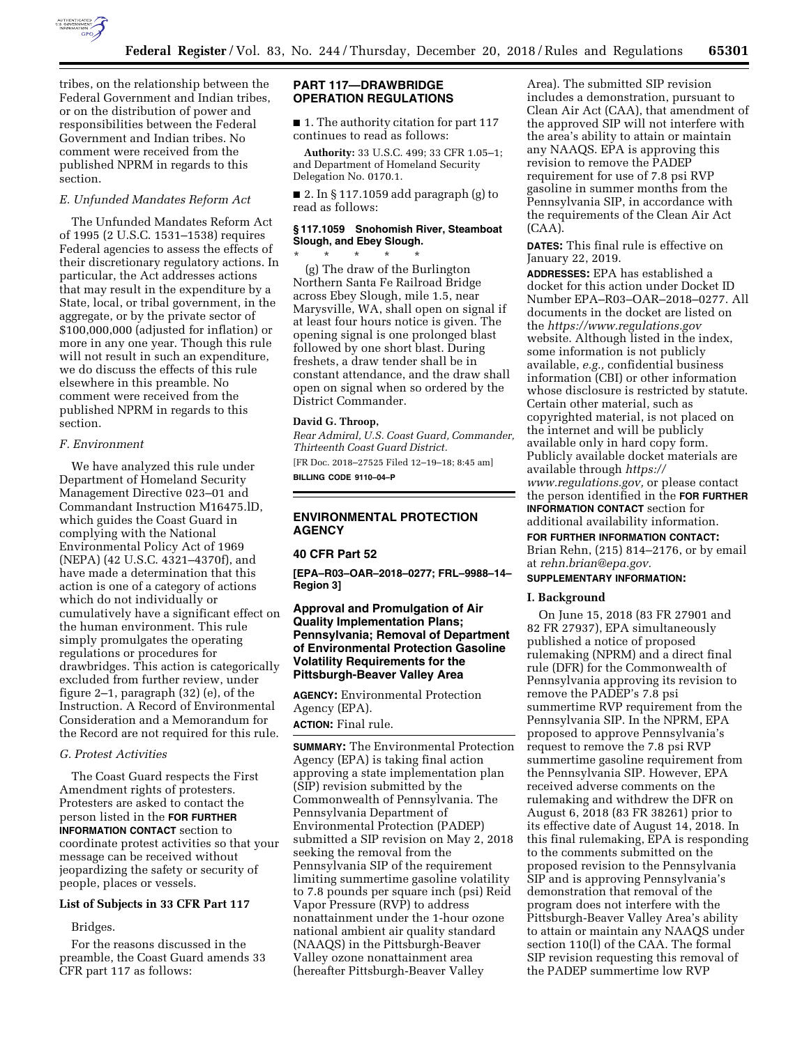

tribes, on the relationship between the Federal Government and Indian tribes, or on the distribution of power and responsibilities between the Federal Government and Indian tribes. No comment were received from the published NPRM in regards to this section.

### *E. Unfunded Mandates Reform Act*

The Unfunded Mandates Reform Act of 1995 (2 U.S.C. 1531–1538) requires Federal agencies to assess the effects of their discretionary regulatory actions. In particular, the Act addresses actions that may result in the expenditure by a State, local, or tribal government, in the aggregate, or by the private sector of \$100,000,000 (adjusted for inflation) or more in any one year. Though this rule will not result in such an expenditure, we do discuss the effects of this rule elsewhere in this preamble. No comment were received from the published NPRM in regards to this section.

### *F. Environment*

We have analyzed this rule under Department of Homeland Security Management Directive 023–01 and Commandant Instruction M16475.lD, which guides the Coast Guard in complying with the National Environmental Policy Act of 1969 (NEPA) (42 U.S.C. 4321–4370f), and have made a determination that this action is one of a category of actions which do not individually or cumulatively have a significant effect on the human environment. This rule simply promulgates the operating regulations or procedures for drawbridges. This action is categorically excluded from further review, under figure 2–1, paragraph (32) (e), of the Instruction. A Record of Environmental Consideration and a Memorandum for the Record are not required for this rule.

### *G. Protest Activities*

The Coast Guard respects the First Amendment rights of protesters. Protesters are asked to contact the person listed in the **FOR FURTHER INFORMATION CONTACT** section to coordinate protest activities so that your message can be received without jeopardizing the safety or security of people, places or vessels.

## **List of Subjects in 33 CFR Part 117**

## Bridges.

For the reasons discussed in the preamble, the Coast Guard amends 33 CFR part 117 as follows:

## **PART 117—DRAWBRIDGE OPERATION REGULATIONS**

■ 1. The authority citation for part 117 continues to read as follows:

**Authority:** 33 U.S.C. 499; 33 CFR 1.05–1; and Department of Homeland Security Delegation No. 0170.1.

■ 2. In § 117.1059 add paragraph (g) to read as follows:

### **§ 117.1059 Snohomish River, Steamboat Slough, and Ebey Slough.**

\* \* \* \* \* (g) The draw of the Burlington Northern Santa Fe Railroad Bridge across Ebey Slough, mile 1.5, near Marysville, WA, shall open on signal if at least four hours notice is given. The opening signal is one prolonged blast followed by one short blast. During freshets, a draw tender shall be in constant attendance, and the draw shall open on signal when so ordered by the District Commander.

### **David G. Throop,**

*Rear Admiral, U.S. Coast Guard, Commander, Thirteenth Coast Guard District.*  [FR Doc. 2018–27525 Filed 12–19–18; 8:45 am] **BILLING CODE 9110–04–P** 

## **ENVIRONMENTAL PROTECTION AGENCY**

### **40 CFR Part 52**

**[EPA–R03–OAR–2018–0277; FRL–9988–14– Region 3]** 

## **Approval and Promulgation of Air Quality Implementation Plans; Pennsylvania; Removal of Department of Environmental Protection Gasoline Volatility Requirements for the Pittsburgh-Beaver Valley Area**

**AGENCY:** Environmental Protection Agency (EPA). **ACTION:** Final rule.

**SUMMARY:** The Environmental Protection Agency (EPA) is taking final action approving a state implementation plan (SIP) revision submitted by the Commonwealth of Pennsylvania. The Pennsylvania Department of Environmental Protection (PADEP) submitted a SIP revision on May 2, 2018 seeking the removal from the Pennsylvania SIP of the requirement limiting summertime gasoline volatility to 7.8 pounds per square inch (psi) Reid Vapor Pressure (RVP) to address nonattainment under the 1-hour ozone national ambient air quality standard (NAAQS) in the Pittsburgh-Beaver Valley ozone nonattainment area (hereafter Pittsburgh-Beaver Valley

Area). The submitted SIP revision includes a demonstration, pursuant to Clean Air Act (CAA), that amendment of the approved SIP will not interfere with the area's ability to attain or maintain any NAAQS. EPA is approving this revision to remove the PADEP requirement for use of 7.8 psi RVP gasoline in summer months from the Pennsylvania SIP, in accordance with the requirements of the Clean Air Act (CAA).

**DATES:** This final rule is effective on January 22, 2019.

**ADDRESSES:** EPA has established a docket for this action under Docket ID Number EPA–R03–OAR–2018–0277. All documents in the docket are listed on the *<https://www.regulations.gov>* website. Although listed in the index, some information is not publicly available, *e.g.,* confidential business information (CBI) or other information whose disclosure is restricted by statute. Certain other material, such as copyrighted material, is not placed on the internet and will be publicly available only in hard copy form. Publicly available docket materials are available through *[https://](https://www.regulations.gov) [www.regulations.gov,](https://www.regulations.gov)* or please contact the person identified in the **FOR FURTHER INFORMATION CONTACT** section for additional availability information.

#### **FOR FURTHER INFORMATION CONTACT:**

Brian Rehn, (215) 814–2176, or by email at *[rehn.brian@epa.gov.](mailto:rehn.brian@epa.gov)* 

# **SUPPLEMENTARY INFORMATION:**

#### **I. Background**

On June 15, 2018 (83 FR 27901 and 82 FR 27937), EPA simultaneously published a notice of proposed rulemaking (NPRM) and a direct final rule (DFR) for the Commonwealth of Pennsylvania approving its revision to remove the PADEP's 7.8 psi summertime RVP requirement from the Pennsylvania SIP. In the NPRM, EPA proposed to approve Pennsylvania's request to remove the 7.8 psi RVP summertime gasoline requirement from the Pennsylvania SIP. However, EPA received adverse comments on the rulemaking and withdrew the DFR on August 6, 2018 (83 FR 38261) prior to its effective date of August 14, 2018. In this final rulemaking, EPA is responding to the comments submitted on the proposed revision to the Pennsylvania SIP and is approving Pennsylvania's demonstration that removal of the program does not interfere with the Pittsburgh-Beaver Valley Area's ability to attain or maintain any NAAQS under section 110(l) of the CAA. The formal SIP revision requesting this removal of the PADEP summertime low RVP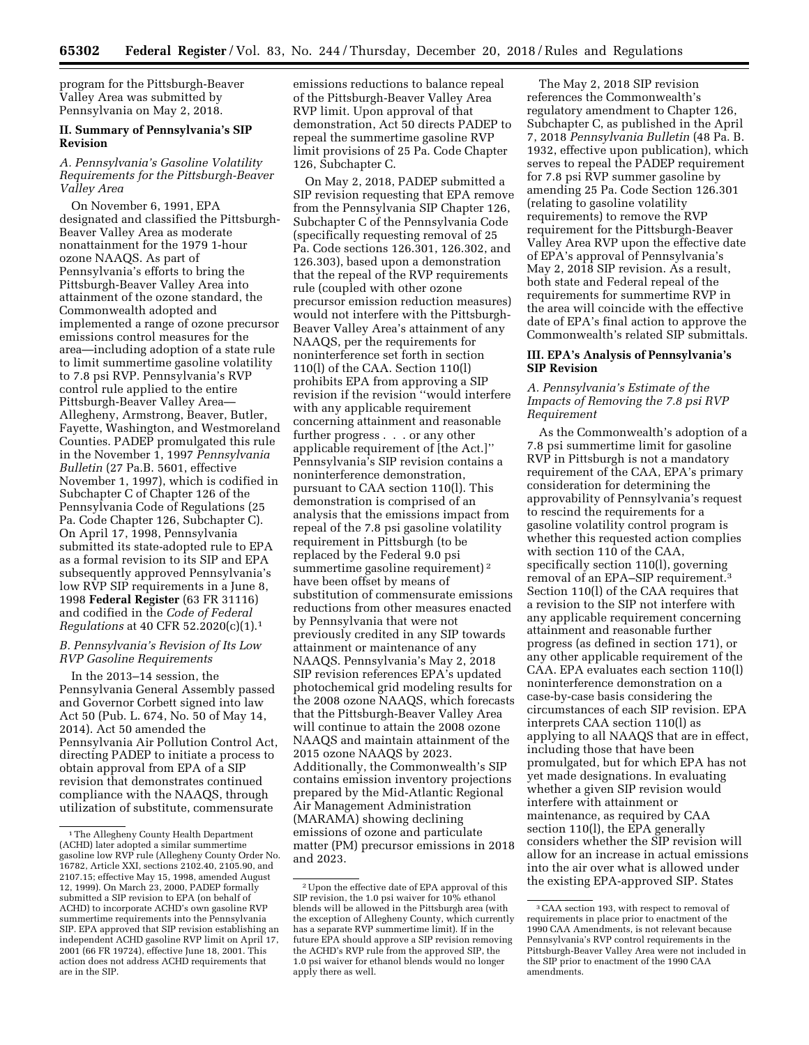program for the Pittsburgh-Beaver Valley Area was submitted by Pennsylvania on May 2, 2018.

## **II. Summary of Pennsylvania's SIP Revision**

# *A. Pennsylvania's Gasoline Volatility Requirements for the Pittsburgh-Beaver Valley Area*

On November 6, 1991, EPA designated and classified the Pittsburgh-Beaver Valley Area as moderate nonattainment for the 1979 1-hour ozone NAAQS. As part of Pennsylvania's efforts to bring the Pittsburgh-Beaver Valley Area into attainment of the ozone standard, the Commonwealth adopted and implemented a range of ozone precursor emissions control measures for the area—including adoption of a state rule to limit summertime gasoline volatility to 7.8 psi RVP. Pennsylvania's RVP control rule applied to the entire Pittsburgh-Beaver Valley Area— Allegheny, Armstrong, Beaver, Butler, Fayette, Washington, and Westmoreland Counties. PADEP promulgated this rule in the November 1, 1997 *Pennsylvania Bulletin* (27 Pa.B. 5601, effective November 1, 1997), which is codified in Subchapter C of Chapter 126 of the Pennsylvania Code of Regulations (25 Pa. Code Chapter 126, Subchapter C). On April 17, 1998, Pennsylvania submitted its state-adopted rule to EPA as a formal revision to its SIP and EPA subsequently approved Pennsylvania's low RVP SIP requirements in a June 8, 1998 **Federal Register** (63 FR 31116) and codified in the *Code of Federal Regulations* at 40 CFR 52.2020(c)(1).1

# *B. Pennsylvania's Revision of Its Low RVP Gasoline Requirements*

In the 2013–14 session, the Pennsylvania General Assembly passed and Governor Corbett signed into law Act 50 (Pub. L. 674, No. 50 of May 14, 2014). Act 50 amended the Pennsylvania Air Pollution Control Act, directing PADEP to initiate a process to obtain approval from EPA of a SIP revision that demonstrates continued compliance with the NAAQS, through utilization of substitute, commensurate

emissions reductions to balance repeal of the Pittsburgh-Beaver Valley Area RVP limit. Upon approval of that demonstration, Act 50 directs PADEP to repeal the summertime gasoline RVP limit provisions of 25 Pa. Code Chapter 126, Subchapter C.

On May 2, 2018, PADEP submitted a SIP revision requesting that EPA remove from the Pennsylvania SIP Chapter 126, Subchapter C of the Pennsylvania Code (specifically requesting removal of 25 Pa. Code sections 126.301, 126.302, and 126.303), based upon a demonstration that the repeal of the RVP requirements rule (coupled with other ozone precursor emission reduction measures) would not interfere with the Pittsburgh-Beaver Valley Area's attainment of any NAAQS, per the requirements for noninterference set forth in section 110(l) of the CAA. Section 110(l) prohibits EPA from approving a SIP revision if the revision ''would interfere with any applicable requirement concerning attainment and reasonable further progress . . . or any other applicable requirement of [the Act.]'' Pennsylvania's SIP revision contains a noninterference demonstration, pursuant to CAA section 110(l). This demonstration is comprised of an analysis that the emissions impact from repeal of the 7.8 psi gasoline volatility requirement in Pittsburgh (to be replaced by the Federal 9.0 psi summertime gasoline requirement) 2 have been offset by means of substitution of commensurate emissions reductions from other measures enacted by Pennsylvania that were not previously credited in any SIP towards attainment or maintenance of any NAAQS. Pennsylvania's May 2, 2018 SIP revision references EPA's updated photochemical grid modeling results for the 2008 ozone NAAQS, which forecasts that the Pittsburgh-Beaver Valley Area will continue to attain the 2008 ozone NAAQS and maintain attainment of the 2015 ozone NAAQS by 2023. Additionally, the Commonwealth's SIP contains emission inventory projections prepared by the Mid-Atlantic Regional Air Management Administration (MARAMA) showing declining emissions of ozone and particulate matter (PM) precursor emissions in 2018 and 2023.

The May 2, 2018 SIP revision references the Commonwealth's regulatory amendment to Chapter 126, Subchapter C, as published in the April 7, 2018 *Pennsylvania Bulletin* (48 Pa. B. 1932, effective upon publication), which serves to repeal the PADEP requirement for 7.8 psi RVP summer gasoline by amending 25 Pa. Code Section 126.301 (relating to gasoline volatility requirements) to remove the RVP requirement for the Pittsburgh-Beaver Valley Area RVP upon the effective date of EPA's approval of Pennsylvania's May 2, 2018 SIP revision. As a result, both state and Federal repeal of the requirements for summertime RVP in the area will coincide with the effective date of EPA's final action to approve the Commonwealth's related SIP submittals.

## **III. EPA's Analysis of Pennsylvania's SIP Revision**

### *A. Pennsylvania's Estimate of the Impacts of Removing the 7.8 psi RVP Requirement*

As the Commonwealth's adoption of a 7.8 psi summertime limit for gasoline RVP in Pittsburgh is not a mandatory requirement of the CAA, EPA's primary consideration for determining the approvability of Pennsylvania's request to rescind the requirements for a gasoline volatility control program is whether this requested action complies with section 110 of the CAA, specifically section 110(l), governing removal of an EPA–SIP requirement.3 Section 110(l) of the CAA requires that a revision to the SIP not interfere with any applicable requirement concerning attainment and reasonable further progress (as defined in section 171), or any other applicable requirement of the CAA. EPA evaluates each section 110(l) noninterference demonstration on a case-by-case basis considering the circumstances of each SIP revision. EPA interprets CAA section 110(l) as applying to all NAAQS that are in effect, including those that have been promulgated, but for which EPA has not yet made designations. In evaluating whether a given SIP revision would interfere with attainment or maintenance, as required by CAA section 110(l), the EPA generally considers whether the SIP revision will allow for an increase in actual emissions into the air over what is allowed under the existing EPA-approved SIP. States

<sup>1</sup>The Allegheny County Health Department (ACHD) later adopted a similar summertime gasoline low RVP rule (Allegheny County Order No. 16782, Article XXI, sections 2102.40, 2105.90, and 2107.15; effective May 15, 1998, amended August 12, 1999). On March 23, 2000, PADEP formally submitted a SIP revision to EPA (on behalf of ACHD) to incorporate ACHD's own gasoline RVP summertime requirements into the Pennsylvania SIP. EPA approved that SIP revision establishing an independent ACHD gasoline RVP limit on April 17, 2001 (66 FR 19724), effective June 18, 2001. This action does not address ACHD requirements that are in the SIP.

<sup>2</sup>Upon the effective date of EPA approval of this SIP revision, the 1.0 psi waiver for 10% ethanol blends will be allowed in the Pittsburgh area (with the exception of Allegheny County, which currently has a separate RVP summertime limit). If in the future EPA should approve a SIP revision removing the ACHD's RVP rule from the approved SIP, the 1.0 psi waiver for ethanol blends would no longer apply there as well.

<sup>3</sup>CAA section 193, with respect to removal of requirements in place prior to enactment of the 1990 CAA Amendments, is not relevant because Pennsylvania's RVP control requirements in the Pittsburgh-Beaver Valley Area were not included in the SIP prior to enactment of the 1990 CAA amendments.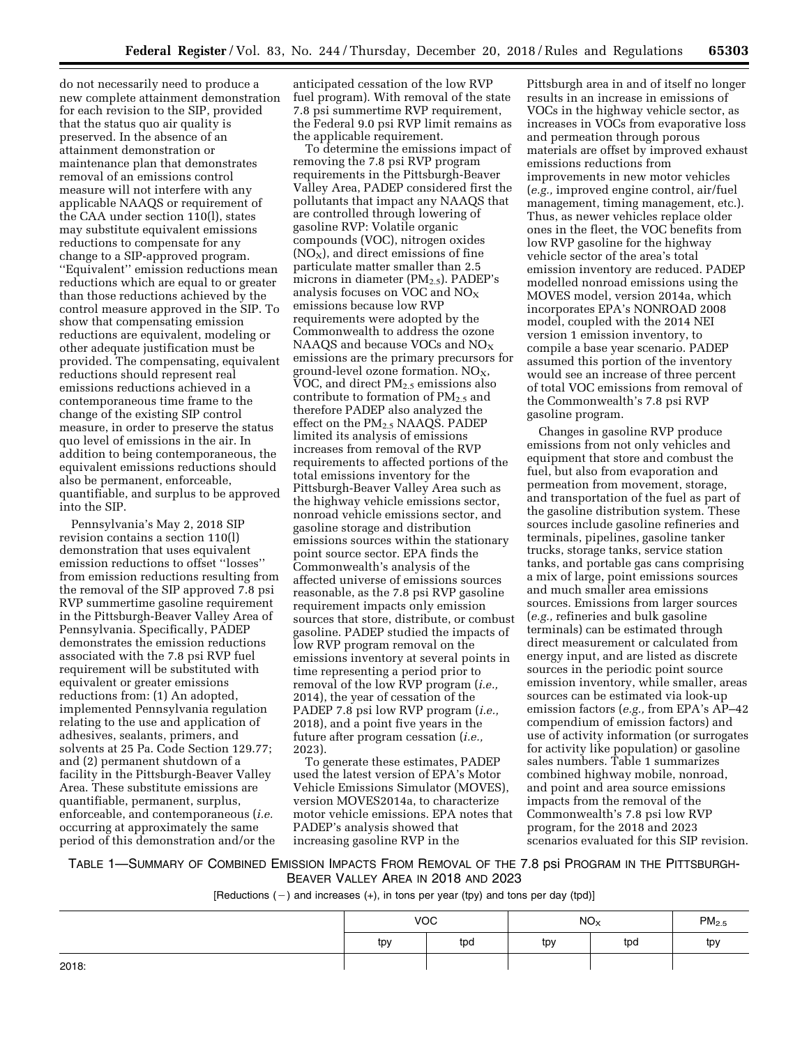do not necessarily need to produce a new complete attainment demonstration for each revision to the SIP, provided that the status quo air quality is preserved. In the absence of an attainment demonstration or maintenance plan that demonstrates removal of an emissions control measure will not interfere with any applicable NAAQS or requirement of the CAA under section 110(l), states may substitute equivalent emissions reductions to compensate for any change to a SIP-approved program. ''Equivalent'' emission reductions mean reductions which are equal to or greater than those reductions achieved by the control measure approved in the SIP. To show that compensating emission reductions are equivalent, modeling or other adequate justification must be provided. The compensating, equivalent reductions should represent real emissions reductions achieved in a contemporaneous time frame to the change of the existing SIP control measure, in order to preserve the status quo level of emissions in the air. In addition to being contemporaneous, the equivalent emissions reductions should also be permanent, enforceable, quantifiable, and surplus to be approved into the SIP.

Pennsylvania's May 2, 2018 SIP revision contains a section 110(l) demonstration that uses equivalent emission reductions to offset ''losses'' from emission reductions resulting from the removal of the SIP approved 7.8 psi RVP summertime gasoline requirement in the Pittsburgh-Beaver Valley Area of Pennsylvania. Specifically, PADEP demonstrates the emission reductions associated with the 7.8 psi RVP fuel requirement will be substituted with equivalent or greater emissions reductions from: (1) An adopted, implemented Pennsylvania regulation relating to the use and application of adhesives, sealants, primers, and solvents at 25 Pa. Code Section 129.77; and (2) permanent shutdown of a facility in the Pittsburgh-Beaver Valley Area. These substitute emissions are quantifiable, permanent, surplus, enforceable, and contemporaneous (*i.e.*  occurring at approximately the same period of this demonstration and/or the

anticipated cessation of the low RVP fuel program). With removal of the state 7.8 psi summertime RVP requirement, the Federal 9.0 psi RVP limit remains as the applicable requirement.

To determine the emissions impact of removing the 7.8 psi RVP program requirements in the Pittsburgh-Beaver Valley Area, PADEP considered first the pollutants that impact any NAAQS that are controlled through lowering of gasoline RVP: Volatile organic compounds (VOC), nitrogen oxides  $(NO<sub>X</sub>)$ , and direct emissions of fine particulate matter smaller than 2.5 microns in diameter  $(PM_{2.5})$ . PADEP's analysis focuses on VOC and  $NO<sub>x</sub>$ emissions because low RVP requirements were adopted by the Commonwealth to address the ozone NAAQS and because VOCs and NO<sub>x</sub> emissions are the primary precursors for ground-level ozone formation.  $NO<sub>X</sub>$ , VOC, and direct  $PM_{2.5}$  emissions also contribute to formation of  $PM_{2.5}$  and therefore PADEP also analyzed the effect on the PM<sub>2.5</sub> NAAQS. PADEP limited its analysis of emissions increases from removal of the RVP requirements to affected portions of the total emissions inventory for the Pittsburgh-Beaver Valley Area such as the highway vehicle emissions sector, nonroad vehicle emissions sector, and gasoline storage and distribution emissions sources within the stationary point source sector. EPA finds the Commonwealth's analysis of the affected universe of emissions sources reasonable, as the 7.8 psi RVP gasoline requirement impacts only emission sources that store, distribute, or combust gasoline. PADEP studied the impacts of low RVP program removal on the emissions inventory at several points in time representing a period prior to removal of the low RVP program (*i.e.,*  2014), the year of cessation of the PADEP 7.8 psi low RVP program (*i.e.,*  2018), and a point five years in the future after program cessation (*i.e.,*  2023).

To generate these estimates, PADEP used the latest version of EPA's Motor Vehicle Emissions Simulator (MOVES), version MOVES2014a, to characterize motor vehicle emissions. EPA notes that PADEP's analysis showed that increasing gasoline RVP in the

Pittsburgh area in and of itself no longer results in an increase in emissions of VOCs in the highway vehicle sector, as increases in VOCs from evaporative loss and permeation through porous materials are offset by improved exhaust emissions reductions from improvements in new motor vehicles (*e.g.,* improved engine control, air/fuel management, timing management, etc.). Thus, as newer vehicles replace older ones in the fleet, the VOC benefits from low RVP gasoline for the highway vehicle sector of the area's total emission inventory are reduced. PADEP modelled nonroad emissions using the MOVES model, version 2014a, which incorporates EPA's NONROAD 2008 model, coupled with the 2014 NEI version 1 emission inventory, to compile a base year scenario. PADEP assumed this portion of the inventory would see an increase of three percent of total VOC emissions from removal of the Commonwealth's 7.8 psi RVP gasoline program.

Changes in gasoline RVP produce emissions from not only vehicles and equipment that store and combust the fuel, but also from evaporation and permeation from movement, storage, and transportation of the fuel as part of the gasoline distribution system. These sources include gasoline refineries and terminals, pipelines, gasoline tanker trucks, storage tanks, service station tanks, and portable gas cans comprising a mix of large, point emissions sources and much smaller area emissions sources. Emissions from larger sources (*e.g.,* refineries and bulk gasoline terminals) can be estimated through direct measurement or calculated from energy input, and are listed as discrete sources in the periodic point source emission inventory, while smaller, areas sources can be estimated via look-up emission factors (*e.g.,* from EPA's AP–42 compendium of emission factors) and use of activity information (or surrogates for activity like population) or gasoline sales numbers. Table 1 summarizes combined highway mobile, nonroad, and point and area source emissions impacts from the removal of the Commonwealth's 7.8 psi low RVP program, for the 2018 and 2023 scenarios evaluated for this SIP revision.

TABLE 1—SUMMARY OF COMBINED EMISSION IMPACTS FROM REMOVAL OF THE 7.8 psi PROGRAM IN THE PITTSBURGH-BEAVER VALLEY AREA IN 2018 AND 2023

[Reductions  $(-)$  and increases  $(+)$ , in tons per year (tpy) and tons per day (tpd)]

|       | VOC |     | NO <sub>x</sub> |     | PM <sub>2.5</sub> |
|-------|-----|-----|-----------------|-----|-------------------|
|       | tpy | tpd | tpy             | tpd | tpy               |
| 2018: |     |     |                 |     |                   |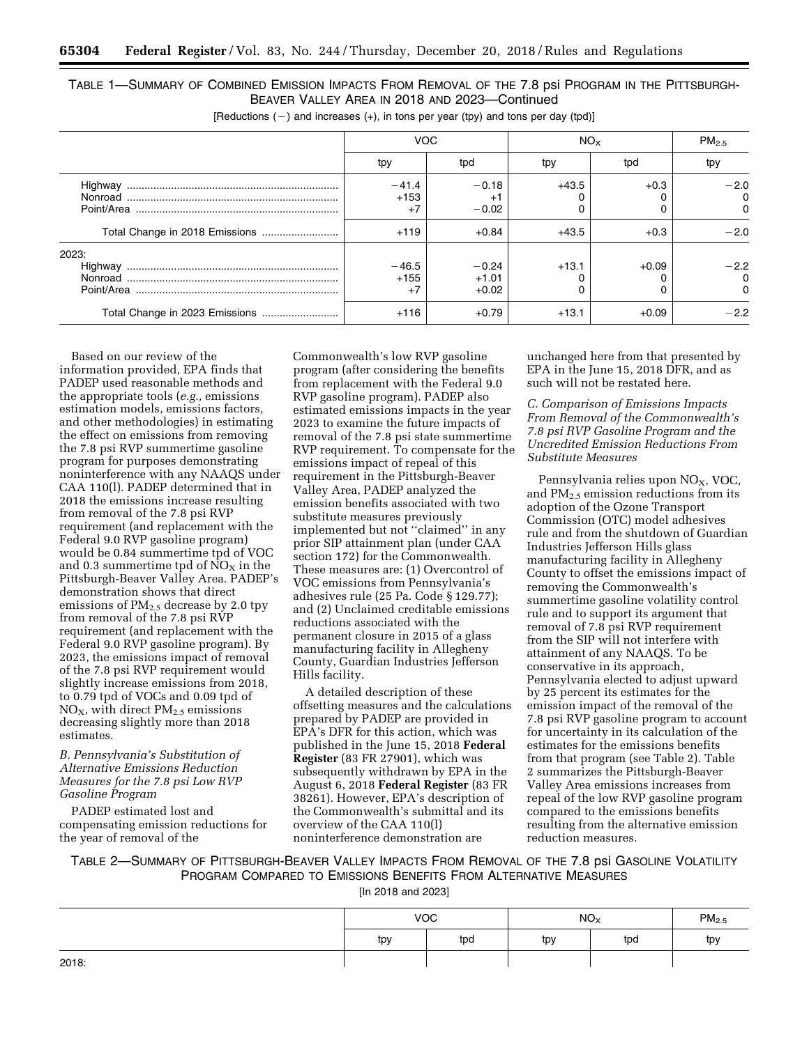|                       | VOC.                      |                               | NO <sub>x</sub> |         | PM <sub>2.5</sub>           |  |
|-----------------------|---------------------------|-------------------------------|-----------------|---------|-----------------------------|--|
|                       | tpy                       | tpd                           | tpy             | tpd     | tpy                         |  |
| Highway<br>Point/Area | $-41.4$<br>$+153$<br>$+7$ | $-0.18$<br>$-0.02$            | $+43.5$         | $+0.3$  | $-2.0$<br>0<br>0            |  |
|                       | $+119$                    | $+0.84$                       | $+43.5$         | $+0.3$  | $-2.0$                      |  |
| 2023:<br>Nonroad      | $-46.5$<br>$+155$<br>$+7$ | $-0.24$<br>$+1.01$<br>$+0.02$ | $+13.1$         | $+0.09$ | $-2.2$<br>0<br><sup>0</sup> |  |
|                       | $+116$                    | $+0.79$                       | $+13.1$         | $+0.09$ | $-2.2$                      |  |

TABLE 1—SUMMARY OF COMBINED EMISSION IMPACTS FROM REMOVAL OF THE 7.8 psi PROGRAM IN THE PITTSBURGH-BEAVER VALLEY AREA IN 2018 AND 2023—Continued

[Reductions  $(-)$  and increases  $(+)$ , in tons per year (tpy) and tons per day (tpd)]

Based on our review of the information provided, EPA finds that PADEP used reasonable methods and the appropriate tools (*e.g.,* emissions estimation models, emissions factors, and other methodologies) in estimating the effect on emissions from removing the 7.8 psi RVP summertime gasoline program for purposes demonstrating noninterference with any NAAQS under CAA 110(l). PADEP determined that in 2018 the emissions increase resulting from removal of the 7.8 psi RVP requirement (and replacement with the Federal 9.0 RVP gasoline program) would be 0.84 summertime tpd of VOC and 0.3 summertime tpd of  $NO<sub>x</sub>$  in the Pittsburgh-Beaver Valley Area. PADEP's demonstration shows that direct emissions of  $PM<sub>2.5</sub>$  decrease by 2.0 tpy from removal of the 7.8 psi RVP requirement (and replacement with the Federal 9.0 RVP gasoline program). By 2023, the emissions impact of removal of the 7.8 psi RVP requirement would slightly increase emissions from 2018, to 0.79 tpd of VOCs and 0.09 tpd of  $NO<sub>X</sub>$ , with direct  $PM<sub>2.5</sub>$  emissions decreasing slightly more than 2018 estimates.

## *B. Pennsylvania's Substitution of Alternative Emissions Reduction Measures for the 7.8 psi Low RVP Gasoline Program*

PADEP estimated lost and compensating emission reductions for the year of removal of the

Commonwealth's low RVP gasoline program (after considering the benefits from replacement with the Federal 9.0 RVP gasoline program). PADEP also estimated emissions impacts in the year 2023 to examine the future impacts of removal of the 7.8 psi state summertime RVP requirement. To compensate for the emissions impact of repeal of this requirement in the Pittsburgh-Beaver Valley Area, PADEP analyzed the emission benefits associated with two substitute measures previously implemented but not ''claimed'' in any prior SIP attainment plan (under CAA section 172) for the Commonwealth. These measures are: (1) Overcontrol of VOC emissions from Pennsylvania's adhesives rule (25 Pa. Code § 129.77); and (2) Unclaimed creditable emissions reductions associated with the permanent closure in 2015 of a glass manufacturing facility in Allegheny County, Guardian Industries Jefferson Hills facility.

A detailed description of these offsetting measures and the calculations prepared by PADEP are provided in EPA's DFR for this action, which was published in the June 15, 2018 **Federal Register** (83 FR 27901), which was subsequently withdrawn by EPA in the August 6, 2018 **Federal Register** (83 FR 38261). However, EPA's description of the Commonwealth's submittal and its overview of the CAA 110(l) noninterference demonstration are

unchanged here from that presented by EPA in the June 15, 2018 DFR, and as such will not be restated here.

*C. Comparison of Emissions Impacts From Removal of the Commonwealth's 7.8 psi RVP Gasoline Program and the Uncredited Emission Reductions From Substitute Measures* 

Pennsylvania relies upon  $NO<sub>x</sub>$ , VOC, and PM2.5 emission reductions from its adoption of the Ozone Transport Commission (OTC) model adhesives rule and from the shutdown of Guardian Industries Jefferson Hills glass manufacturing facility in Allegheny County to offset the emissions impact of removing the Commonwealth's summertime gasoline volatility control rule and to support its argument that removal of 7.8 psi RVP requirement from the SIP will not interfere with attainment of any NAAQS. To be conservative in its approach, Pennsylvania elected to adjust upward by 25 percent its estimates for the emission impact of the removal of the 7.8 psi RVP gasoline program to account for uncertainty in its calculation of the estimates for the emissions benefits from that program (see Table 2). Table 2 summarizes the Pittsburgh-Beaver Valley Area emissions increases from repeal of the low RVP gasoline program compared to the emissions benefits resulting from the alternative emission reduction measures.

TABLE 2—SUMMARY OF PITTSBURGH-BEAVER VALLEY IMPACTS FROM REMOVAL OF THE 7.8 psi GASOLINE VOLATILITY PROGRAM COMPARED TO EMISSIONS BENEFITS FROM ALTERNATIVE MEASURES

[In 2018 and 2023]

|       | VOC |     | NO <sub>x</sub> |     | PM <sub>2.5</sub> |
|-------|-----|-----|-----------------|-----|-------------------|
|       | tpy | tpd | tpy             | tpd | tpy               |
| 2018: |     |     |                 |     |                   |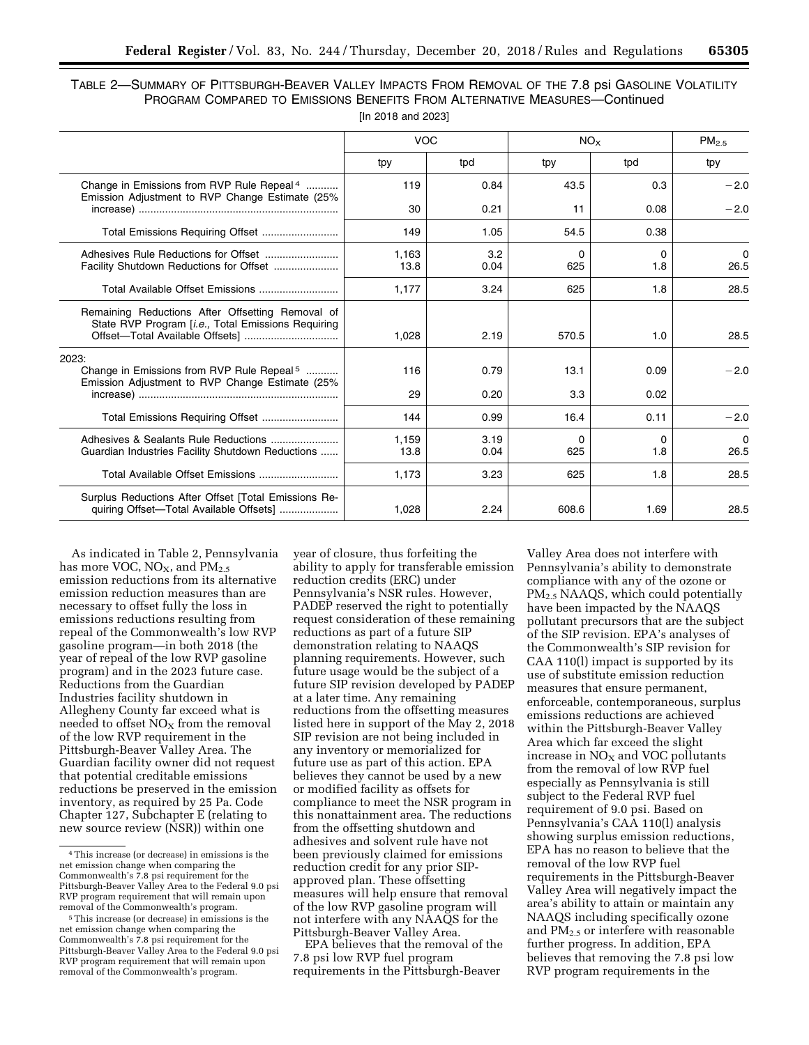| TABLE 2-SUMMARY OF PITTSBURGH-BEAVER VALLEY IMPACTS FROM REMOVAL OF THE 7.8 psi GASOLINE VOLATILITY |
|-----------------------------------------------------------------------------------------------------|
| PROGRAM COMPARED TO EMISSIONS BENEFITS FROM ALTERNATIVE MEASURES-Continued                          |
| ln 2018 and 20231                                                                                   |

|                                                                                                                   | <b>VOC</b>    |              | NO <sub>x</sub> |          | PM <sub>2.5</sub> |
|-------------------------------------------------------------------------------------------------------------------|---------------|--------------|-----------------|----------|-------------------|
|                                                                                                                   | tpy           | tpd          | tpy             | tpd      | tpy               |
| Change in Emissions from RVP Rule Repeal <sup>4</sup><br>Emission Adjustment to RVP Change Estimate (25%          | 119           | 0.84         | 43.5            | 0.3      | $-2.0$            |
|                                                                                                                   | 30            | 0.21         | 11              | 0.08     | $-2.0$            |
|                                                                                                                   | 149           | 1.05         | 54.5            | 0.38     |                   |
|                                                                                                                   | 1,163<br>13.8 | 3.2<br>0.04  | 0<br>625        | 0<br>1.8 | $\Omega$<br>26.5  |
|                                                                                                                   | 1.177         | 3.24         | 625             | 1.8      | 28.5              |
| Remaining Reductions After Offsetting Removal of<br>State RVP Program [i.e., Total Emissions Requiring            | 1,028         | 2.19         | 570.5           | 1.0      | 28.5              |
| 2023:<br>Change in Emissions from RVP Rule Repeal <sup>5</sup><br>Emission Adjustment to RVP Change Estimate (25% | 116           | 0.79         | 13.1            | 0.09     | $-2.0$            |
|                                                                                                                   | 29            | 0.20         | 3.3             | 0.02     |                   |
|                                                                                                                   | 144           | 0.99         | 16.4            | 0.11     | $-2.0$            |
| Guardian Industries Facility Shutdown Reductions                                                                  | 1,159<br>13.8 | 3.19<br>0.04 | 0<br>625        | 0<br>1.8 | $\Omega$<br>26.5  |
|                                                                                                                   | 1,173         | 3.23         | 625             | 1.8      | 28.5              |
| Surplus Reductions After Offset [Total Emissions Re-<br>quiring Offset-Total Available Offsets]                   | 1,028         | 2.24         | 608.6           | 1.69     | 28.5              |

As indicated in Table 2, Pennsylvania has more VOC,  $NO<sub>X</sub>$ , and  $PM<sub>2.5</sub>$ emission reductions from its alternative emission reduction measures than are necessary to offset fully the loss in emissions reductions resulting from repeal of the Commonwealth's low RVP gasoline program—in both 2018 (the year of repeal of the low RVP gasoline program) and in the 2023 future case. Reductions from the Guardian Industries facility shutdown in Allegheny County far exceed what is needed to offset  $NO<sub>X</sub>$  from the removal of the low RVP requirement in the Pittsburgh-Beaver Valley Area. The Guardian facility owner did not request that potential creditable emissions reductions be preserved in the emission inventory, as required by 25 Pa. Code Chapter 127, Subchapter E (relating to new source review (NSR)) within one

year of closure, thus forfeiting the ability to apply for transferable emission reduction credits (ERC) under Pennsylvania's NSR rules. However, PADEP reserved the right to potentially request consideration of these remaining reductions as part of a future SIP demonstration relating to NAAQS planning requirements. However, such future usage would be the subject of a future SIP revision developed by PADEP at a later time. Any remaining reductions from the offsetting measures listed here in support of the May 2, 2018 SIP revision are not being included in any inventory or memorialized for future use as part of this action. EPA believes they cannot be used by a new or modified facility as offsets for compliance to meet the NSR program in this nonattainment area. The reductions from the offsetting shutdown and adhesives and solvent rule have not been previously claimed for emissions reduction credit for any prior SIPapproved plan. These offsetting measures will help ensure that removal of the low RVP gasoline program will not interfere with any NAAQS for the Pittsburgh-Beaver Valley Area.

EPA believes that the removal of the 7.8 psi low RVP fuel program requirements in the Pittsburgh-Beaver

Valley Area does not interfere with Pennsylvania's ability to demonstrate compliance with any of the ozone or PM2.5 NAAQS, which could potentially have been impacted by the NAAQS pollutant precursors that are the subject of the SIP revision. EPA's analyses of the Commonwealth's SIP revision for CAA 110(l) impact is supported by its use of substitute emission reduction measures that ensure permanent, enforceable, contemporaneous, surplus emissions reductions are achieved within the Pittsburgh-Beaver Valley Area which far exceed the slight increase in  $NO<sub>X</sub>$  and VOC pollutants from the removal of low RVP fuel especially as Pennsylvania is still subject to the Federal RVP fuel requirement of 9.0 psi. Based on Pennsylvania's CAA 110(l) analysis showing surplus emission reductions, EPA has no reason to believe that the removal of the low RVP fuel requirements in the Pittsburgh-Beaver Valley Area will negatively impact the area's ability to attain or maintain any NAAQS including specifically ozone and  $PM<sub>2.5</sub>$  or interfere with reasonable further progress. In addition, EPA believes that removing the 7.8 psi low RVP program requirements in the

<sup>4</sup>This increase (or decrease) in emissions is the net emission change when comparing the Commonwealth's 7.8 psi requirement for the Pittsburgh-Beaver Valley Area to the Federal 9.0 psi RVP program requirement that will remain upon removal of the Commonwealth's program.

<sup>5</sup>This increase (or decrease) in emissions is the net emission change when comparing the Commonwealth's 7.8 psi requirement for the Pittsburgh-Beaver Valley Area to the Federal 9.0 psi RVP program requirement that will remain upon removal of the Commonwealth's program.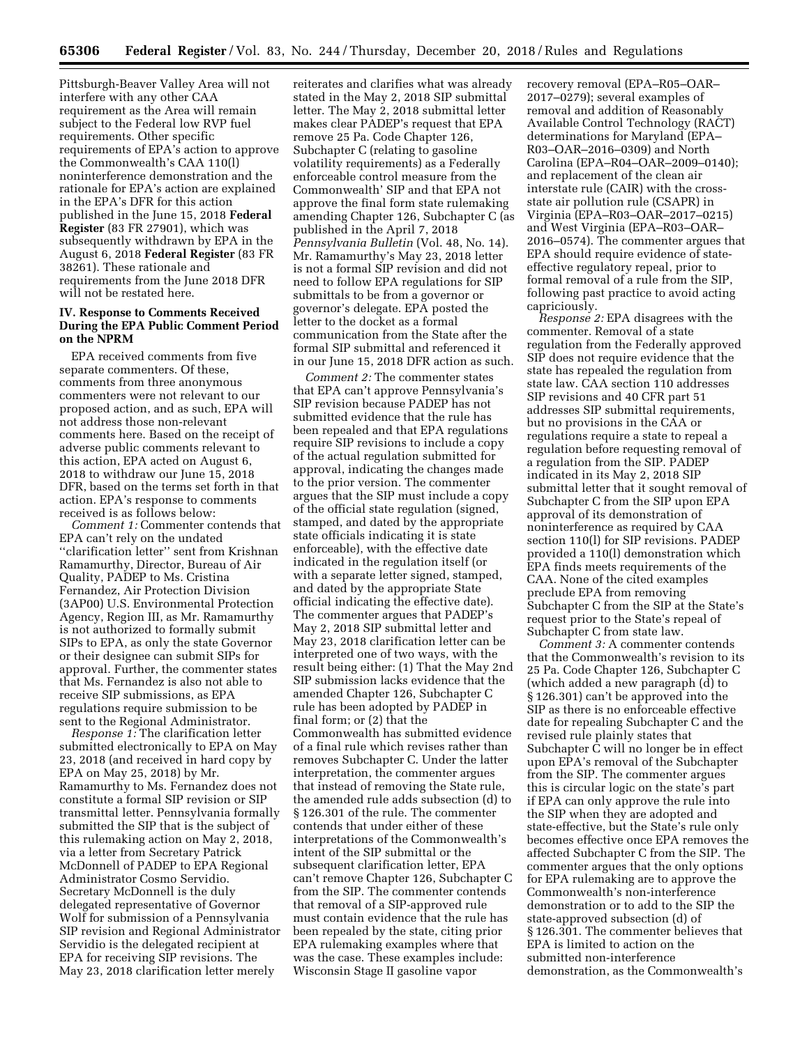Pittsburgh-Beaver Valley Area will not interfere with any other CAA requirement as the Area will remain subject to the Federal low RVP fuel requirements. Other specific requirements of EPA's action to approve the Commonwealth's CAA 110(l) noninterference demonstration and the rationale for EPA's action are explained in the EPA's DFR for this action published in the June 15, 2018 **Federal Register** (83 FR 27901), which was subsequently withdrawn by EPA in the August 6, 2018 **Federal Register** (83 FR 38261). These rationale and requirements from the June 2018 DFR will not be restated here.

# **IV. Response to Comments Received During the EPA Public Comment Period on the NPRM**

EPA received comments from five separate commenters. Of these, comments from three anonymous commenters were not relevant to our proposed action, and as such, EPA will not address those non-relevant comments here. Based on the receipt of adverse public comments relevant to this action, EPA acted on August 6, 2018 to withdraw our June 15, 2018 DFR, based on the terms set forth in that action. EPA's response to comments received is as follows below:

*Comment 1:* Commenter contends that EPA can't rely on the undated ''clarification letter'' sent from Krishnan Ramamurthy, Director, Bureau of Air Quality, PADEP to Ms. Cristina Fernandez, Air Protection Division (3AP00) U.S. Environmental Protection Agency, Region III, as Mr. Ramamurthy is not authorized to formally submit SIPs to EPA, as only the state Governor or their designee can submit SIPs for approval. Further, the commenter states that Ms. Fernandez is also not able to receive SIP submissions, as EPA regulations require submission to be sent to the Regional Administrator.

*Response 1:* The clarification letter submitted electronically to EPA on May 23, 2018 (and received in hard copy by EPA on May 25, 2018) by Mr. Ramamurthy to Ms. Fernandez does not constitute a formal SIP revision or SIP transmittal letter. Pennsylvania formally submitted the SIP that is the subject of this rulemaking action on May 2, 2018, via a letter from Secretary Patrick McDonnell of PADEP to EPA Regional Administrator Cosmo Servidio. Secretary McDonnell is the duly delegated representative of Governor Wolf for submission of a Pennsylvania SIP revision and Regional Administrator Servidio is the delegated recipient at EPA for receiving SIP revisions. The May 23, 2018 clarification letter merely

reiterates and clarifies what was already stated in the May 2, 2018 SIP submittal letter. The May 2, 2018 submittal letter makes clear PADEP's request that EPA remove 25 Pa. Code Chapter 126, Subchapter C (relating to gasoline volatility requirements) as a Federally enforceable control measure from the Commonwealth' SIP and that EPA not approve the final form state rulemaking amending Chapter 126, Subchapter C (as published in the April 7, 2018 *Pennsylvania Bulletin* (Vol. 48, No. 14). Mr. Ramamurthy's May 23, 2018 letter is not a formal SIP revision and did not need to follow EPA regulations for SIP submittals to be from a governor or governor's delegate. EPA posted the letter to the docket as a formal communication from the State after the formal SIP submittal and referenced it in our June 15, 2018 DFR action as such.

*Comment 2:* The commenter states that EPA can't approve Pennsylvania's SIP revision because PADEP has not submitted evidence that the rule has been repealed and that EPA regulations require SIP revisions to include a copy of the actual regulation submitted for approval, indicating the changes made to the prior version. The commenter argues that the SIP must include a copy of the official state regulation (signed, stamped, and dated by the appropriate state officials indicating it is state enforceable), with the effective date indicated in the regulation itself (or with a separate letter signed, stamped, and dated by the appropriate State official indicating the effective date). The commenter argues that PADEP's May 2, 2018 SIP submittal letter and May 23, 2018 clarification letter can be interpreted one of two ways, with the result being either: (1) That the May 2nd SIP submission lacks evidence that the amended Chapter 126, Subchapter C rule has been adopted by PADEP in final form; or (2) that the Commonwealth has submitted evidence of a final rule which revises rather than removes Subchapter C. Under the latter interpretation, the commenter argues that instead of removing the State rule, the amended rule adds subsection (d) to § 126.301 of the rule. The commenter contends that under either of these interpretations of the Commonwealth's intent of the SIP submittal or the subsequent clarification letter, EPA can't remove Chapter 126, Subchapter C from the SIP. The commenter contends that removal of a SIP-approved rule must contain evidence that the rule has been repealed by the state, citing prior EPA rulemaking examples where that was the case. These examples include: Wisconsin Stage II gasoline vapor

recovery removal (EPA–R05–OAR– 2017–0279); several examples of removal and addition of Reasonably Available Control Technology (RACT) determinations for Maryland (EPA– R03–OAR–2016–0309) and North Carolina (EPA–R04–OAR–2009–0140); and replacement of the clean air interstate rule (CAIR) with the crossstate air pollution rule (CSAPR) in Virginia (EPA–R03–OAR–2017–0215) and West Virginia (EPA–R03–OAR– 2016–0574). The commenter argues that EPA should require evidence of stateeffective regulatory repeal, prior to formal removal of a rule from the SIP, following past practice to avoid acting capriciously.

*Response 2:* EPA disagrees with the commenter. Removal of a state regulation from the Federally approved SIP does not require evidence that the state has repealed the regulation from state law. CAA section 110 addresses SIP revisions and 40 CFR part 51 addresses SIP submittal requirements, but no provisions in the CAA or regulations require a state to repeal a regulation before requesting removal of a regulation from the SIP. PADEP indicated in its May 2, 2018 SIP submittal letter that it sought removal of Subchapter C from the SIP upon EPA approval of its demonstration of noninterference as required by CAA section 110(l) for SIP revisions. PADEP provided a 110(l) demonstration which EPA finds meets requirements of the CAA. None of the cited examples preclude EPA from removing Subchapter C from the SIP at the State's request prior to the State's repeal of Subchapter C from state law.

*Comment 3:* A commenter contends that the Commonwealth's revision to its 25 Pa. Code Chapter 126, Subchapter C (which added a new paragraph (d) to § 126.301) can't be approved into the SIP as there is no enforceable effective date for repealing Subchapter C and the revised rule plainly states that Subchapter C will no longer be in effect upon EPA's removal of the Subchapter from the SIP. The commenter argues this is circular logic on the state's part if EPA can only approve the rule into the SIP when they are adopted and state-effective, but the State's rule only becomes effective once EPA removes the affected Subchapter C from the SIP. The commenter argues that the only options for EPA rulemaking are to approve the Commonwealth's non-interference demonstration or to add to the SIP the state-approved subsection (d) of § 126.301. The commenter believes that EPA is limited to action on the submitted non-interference demonstration, as the Commonwealth's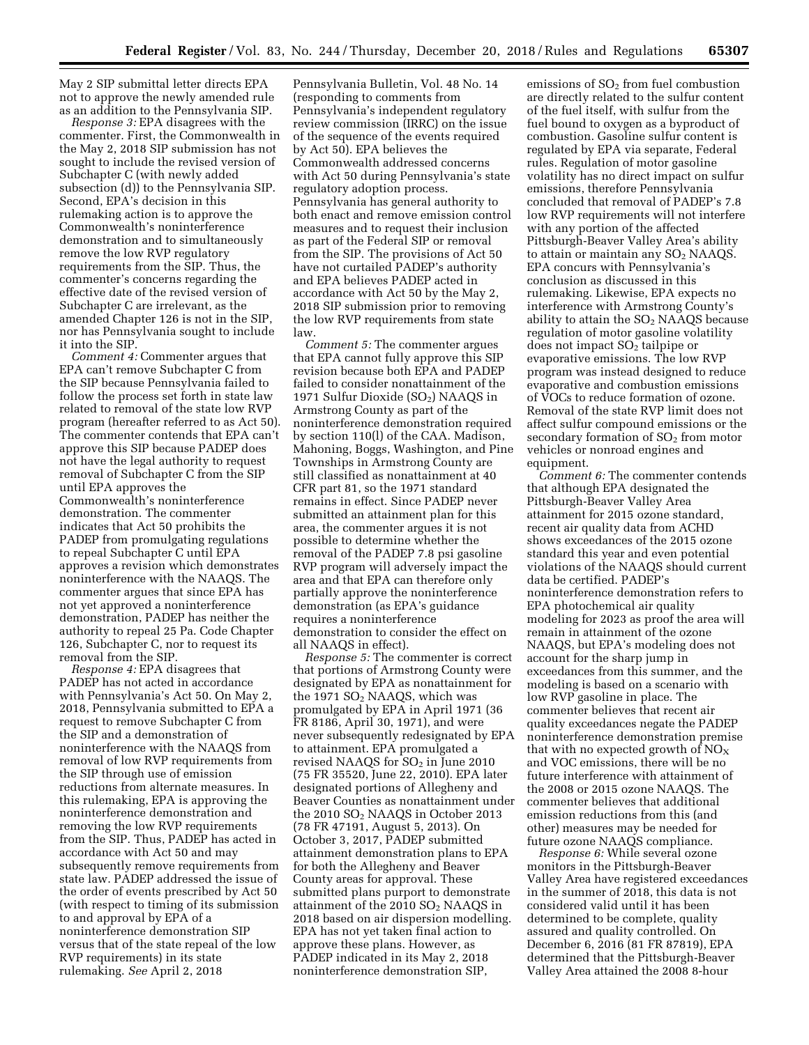May 2 SIP submittal letter directs EPA not to approve the newly amended rule as an addition to the Pennsylvania SIP.

*Response 3:* EPA disagrees with the commenter. First, the Commonwealth in the May 2, 2018 SIP submission has not sought to include the revised version of Subchapter C (with newly added subsection (d)) to the Pennsylvania SIP. Second, EPA's decision in this rulemaking action is to approve the Commonwealth's noninterference demonstration and to simultaneously remove the low RVP regulatory requirements from the SIP. Thus, the commenter's concerns regarding the effective date of the revised version of Subchapter C are irrelevant, as the amended Chapter 126 is not in the SIP, nor has Pennsylvania sought to include it into the SIP.

*Comment 4:* Commenter argues that EPA can't remove Subchapter C from the SIP because Pennsylvania failed to follow the process set forth in state law related to removal of the state low RVP program (hereafter referred to as Act 50). The commenter contends that EPA can't approve this SIP because PADEP does not have the legal authority to request removal of Subchapter C from the SIP until EPA approves the Commonwealth's noninterference demonstration. The commenter indicates that Act 50 prohibits the PADEP from promulgating regulations to repeal Subchapter C until EPA approves a revision which demonstrates noninterference with the NAAQS. The commenter argues that since EPA has not yet approved a noninterference demonstration, PADEP has neither the authority to repeal 25 Pa. Code Chapter 126, Subchapter C, nor to request its removal from the SIP.

*Response 4:* EPA disagrees that PADEP has not acted in accordance with Pennsylvania's Act 50. On May 2, 2018, Pennsylvania submitted to EPA a request to remove Subchapter C from the SIP and a demonstration of noninterference with the NAAQS from removal of low RVP requirements from the SIP through use of emission reductions from alternate measures. In this rulemaking, EPA is approving the noninterference demonstration and removing the low RVP requirements from the SIP. Thus, PADEP has acted in accordance with Act 50 and may subsequently remove requirements from state law. PADEP addressed the issue of the order of events prescribed by Act 50 (with respect to timing of its submission to and approval by EPA of a noninterference demonstration SIP versus that of the state repeal of the low RVP requirements) in its state rulemaking. *See* April 2, 2018

Pennsylvania Bulletin, Vol. 48 No. 14 (responding to comments from Pennsylvania's independent regulatory review commission (IRRC) on the issue of the sequence of the events required by Act 50). EPA believes the Commonwealth addressed concerns with Act 50 during Pennsylvania's state regulatory adoption process. Pennsylvania has general authority to both enact and remove emission control measures and to request their inclusion as part of the Federal SIP or removal from the SIP. The provisions of Act 50 have not curtailed PADEP's authority and EPA believes PADEP acted in accordance with Act 50 by the May 2, 2018 SIP submission prior to removing the low RVP requirements from state law.

*Comment 5:* The commenter argues that EPA cannot fully approve this SIP revision because both EPA and PADEP failed to consider nonattainment of the 1971 Sulfur Dioxide  $(SO<sub>2</sub>)$  NAAQS in Armstrong County as part of the noninterference demonstration required by section 110(l) of the CAA. Madison, Mahoning, Boggs, Washington, and Pine Townships in Armstrong County are still classified as nonattainment at 40 CFR part 81, so the 1971 standard remains in effect. Since PADEP never submitted an attainment plan for this area, the commenter argues it is not possible to determine whether the removal of the PADEP 7.8 psi gasoline RVP program will adversely impact the area and that EPA can therefore only partially approve the noninterference demonstration (as EPA's guidance requires a noninterference demonstration to consider the effect on all NAAQS in effect).

*Response 5:* The commenter is correct that portions of Armstrong County were designated by EPA as nonattainment for the 1971  $SO<sub>2</sub>$  NAAQS, which was promulgated by EPA in April 1971 (36 FR 8186, April 30, 1971), and were never subsequently redesignated by EPA to attainment. EPA promulgated a revised NAAQS for  $SO<sub>2</sub>$  in June 2010 (75 FR 35520, June 22, 2010). EPA later designated portions of Allegheny and Beaver Counties as nonattainment under the 2010 SO2 NAAQS in October 2013 (78 FR 47191, August 5, 2013). On October 3, 2017, PADEP submitted attainment demonstration plans to EPA for both the Allegheny and Beaver County areas for approval. These submitted plans purport to demonstrate attainment of the  $2010$   $SO<sub>2</sub>$  NAAQS in 2018 based on air dispersion modelling. EPA has not yet taken final action to approve these plans. However, as PADEP indicated in its May 2, 2018 noninterference demonstration SIP,

emissions of  $SO<sub>2</sub>$  from fuel combustion are directly related to the sulfur content of the fuel itself, with sulfur from the fuel bound to oxygen as a byproduct of combustion. Gasoline sulfur content is regulated by EPA via separate, Federal rules. Regulation of motor gasoline volatility has no direct impact on sulfur emissions, therefore Pennsylvania concluded that removal of PADEP's 7.8 low RVP requirements will not interfere with any portion of the affected Pittsburgh-Beaver Valley Area's ability to attain or maintain any  $SO<sub>2</sub>$  NAAQS. EPA concurs with Pennsylvania's conclusion as discussed in this rulemaking. Likewise, EPA expects no interference with Armstrong County's ability to attain the  $SO<sub>2</sub>$  NAAQS because regulation of motor gasoline volatility does not impact SO2 tailpipe or evaporative emissions. The low RVP program was instead designed to reduce evaporative and combustion emissions of VOCs to reduce formation of ozone. Removal of the state RVP limit does not affect sulfur compound emissions or the secondary formation of  $SO<sub>2</sub>$  from motor vehicles or nonroad engines and equipment.

*Comment 6:* The commenter contends that although EPA designated the Pittsburgh-Beaver Valley Area attainment for 2015 ozone standard, recent air quality data from ACHD shows exceedances of the 2015 ozone standard this year and even potential violations of the NAAQS should current data be certified. PADEP's noninterference demonstration refers to EPA photochemical air quality modeling for 2023 as proof the area will remain in attainment of the ozone NAAQS, but EPA's modeling does not account for the sharp jump in exceedances from this summer, and the modeling is based on a scenario with low RVP gasoline in place. The commenter believes that recent air quality exceedances negate the PADEP noninterference demonstration premise that with no expected growth of  $NO_X$ and VOC emissions, there will be no future interference with attainment of the 2008 or 2015 ozone NAAQS. The commenter believes that additional emission reductions from this (and other) measures may be needed for future ozone NAAQS compliance.

*Response 6:* While several ozone monitors in the Pittsburgh-Beaver Valley Area have registered exceedances in the summer of 2018, this data is not considered valid until it has been determined to be complete, quality assured and quality controlled. On December 6, 2016 (81 FR 87819), EPA determined that the Pittsburgh-Beaver Valley Area attained the 2008 8-hour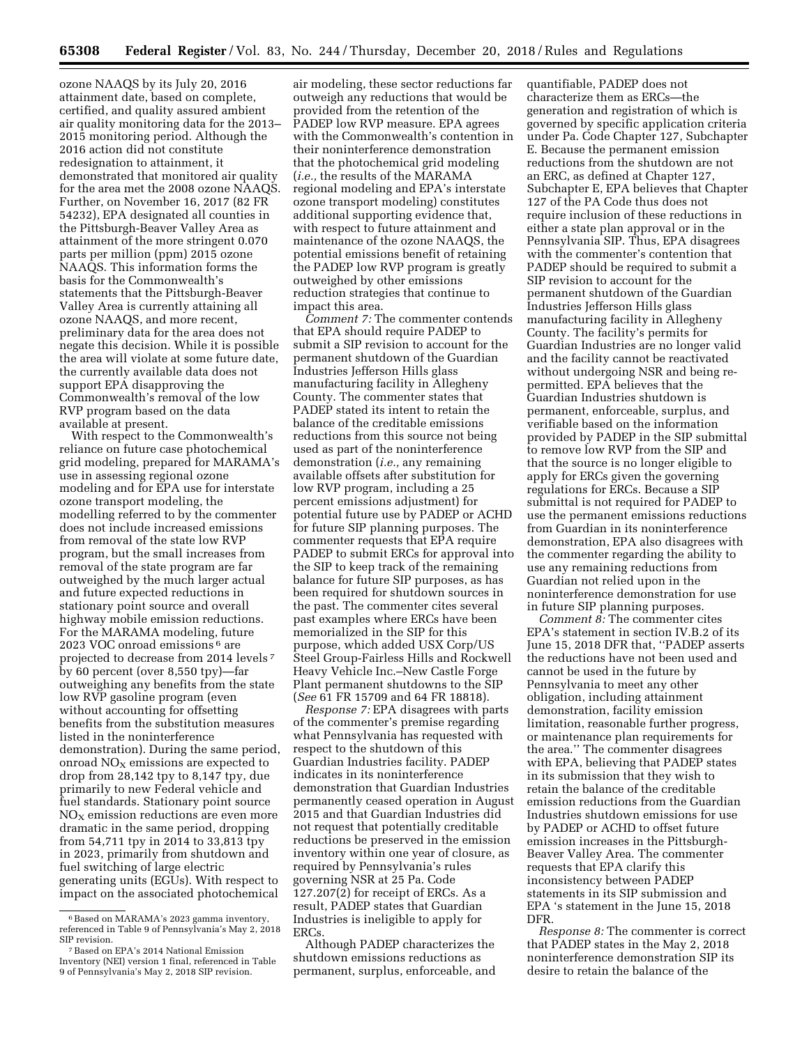ozone NAAQS by its July 20, 2016 attainment date, based on complete, certified, and quality assured ambient air quality monitoring data for the 2013– 2015 monitoring period. Although the 2016 action did not constitute redesignation to attainment, it demonstrated that monitored air quality for the area met the 2008 ozone NAAQS. Further, on November 16, 2017 (82 FR 54232), EPA designated all counties in the Pittsburgh-Beaver Valley Area as attainment of the more stringent 0.070 parts per million (ppm) 2015 ozone NAAQS. This information forms the basis for the Commonwealth's statements that the Pittsburgh-Beaver Valley Area is currently attaining all ozone NAAQS, and more recent, preliminary data for the area does not negate this decision. While it is possible the area will violate at some future date, the currently available data does not support EPA disapproving the Commonwealth's removal of the low RVP program based on the data available at present.

With respect to the Commonwealth's reliance on future case photochemical grid modeling, prepared for MARAMA's use in assessing regional ozone modeling and for EPA use for interstate ozone transport modeling, the modelling referred to by the commenter does not include increased emissions from removal of the state low RVP program, but the small increases from removal of the state program are far outweighed by the much larger actual and future expected reductions in stationary point source and overall highway mobile emission reductions. For the MARAMA modeling, future 2023 VOC onroad emissions 6 are projected to decrease from 2014 levels 7 by 60 percent (over 8,550 tpy)—far outweighing any benefits from the state low RVP gasoline program (even without accounting for offsetting benefits from the substitution measures listed in the noninterference demonstration). During the same period, onroad  $NO<sub>x</sub>$  emissions are expected to drop from 28,142 tpy to 8,147 tpy, due primarily to new Federal vehicle and fuel standards. Stationary point source  $NO<sub>x</sub>$  emission reductions are even more dramatic in the same period, dropping from 54,711 tpy in 2014 to 33,813 tpy in 2023, primarily from shutdown and fuel switching of large electric generating units (EGUs). With respect to impact on the associated photochemical

air modeling, these sector reductions far outweigh any reductions that would be provided from the retention of the PADEP low RVP measure. EPA agrees with the Commonwealth's contention in their noninterference demonstration that the photochemical grid modeling (*i.e.,* the results of the MARAMA regional modeling and EPA's interstate ozone transport modeling) constitutes additional supporting evidence that, with respect to future attainment and maintenance of the ozone NAAQS, the potential emissions benefit of retaining the PADEP low RVP program is greatly outweighed by other emissions reduction strategies that continue to impact this area.

*Comment 7:* The commenter contends that EPA should require PADEP to submit a SIP revision to account for the permanent shutdown of the Guardian Industries Jefferson Hills glass manufacturing facility in Allegheny County. The commenter states that PADEP stated its intent to retain the balance of the creditable emissions reductions from this source not being used as part of the noninterference demonstration (*i.e.,* any remaining available offsets after substitution for low RVP program, including a 25 percent emissions adjustment) for potential future use by PADEP or ACHD for future SIP planning purposes. The commenter requests that EPA require PADEP to submit ERCs for approval into the SIP to keep track of the remaining balance for future SIP purposes, as has been required for shutdown sources in the past. The commenter cites several past examples where ERCs have been memorialized in the SIP for this purpose, which added USX Corp/US Steel Group-Fairless Hills and Rockwell Heavy Vehicle Inc.–New Castle Forge Plant permanent shutdowns to the SIP (*See* 61 FR 15709 and 64 FR 18818).

*Response 7:* EPA disagrees with parts of the commenter's premise regarding what Pennsylvania has requested with respect to the shutdown of this Guardian Industries facility. PADEP indicates in its noninterference demonstration that Guardian Industries permanently ceased operation in August 2015 and that Guardian Industries did not request that potentially creditable reductions be preserved in the emission inventory within one year of closure, as required by Pennsylvania's rules governing NSR at 25 Pa. Code 127.207(2) for receipt of ERCs. As a result, PADEP states that Guardian Industries is ineligible to apply for ERCs.

Although PADEP characterizes the shutdown emissions reductions as permanent, surplus, enforceable, and quantifiable, PADEP does not characterize them as ERCs—the generation and registration of which is governed by specific application criteria under Pa. Code Chapter 127, Subchapter E. Because the permanent emission reductions from the shutdown are not an ERC, as defined at Chapter 127, Subchapter E, EPA believes that Chapter 127 of the PA Code thus does not require inclusion of these reductions in either a state plan approval or in the Pennsylvania SIP. Thus, EPA disagrees with the commenter's contention that PADEP should be required to submit a SIP revision to account for the permanent shutdown of the Guardian Industries Jefferson Hills glass manufacturing facility in Allegheny County. The facility's permits for Guardian Industries are no longer valid and the facility cannot be reactivated without undergoing NSR and being repermitted. EPA believes that the Guardian Industries shutdown is permanent, enforceable, surplus, and verifiable based on the information provided by PADEP in the SIP submittal to remove low RVP from the SIP and that the source is no longer eligible to apply for ERCs given the governing regulations for ERCs. Because a SIP submittal is not required for PADEP to use the permanent emissions reductions from Guardian in its noninterference demonstration, EPA also disagrees with the commenter regarding the ability to use any remaining reductions from Guardian not relied upon in the noninterference demonstration for use in future SIP planning purposes.

*Comment 8:* The commenter cites EPA's statement in section IV.B.2 of its June 15, 2018 DFR that, ''PADEP asserts the reductions have not been used and cannot be used in the future by Pennsylvania to meet any other obligation, including attainment demonstration, facility emission limitation, reasonable further progress, or maintenance plan requirements for the area.'' The commenter disagrees with EPA, believing that PADEP states in its submission that they wish to retain the balance of the creditable emission reductions from the Guardian Industries shutdown emissions for use by PADEP or ACHD to offset future emission increases in the Pittsburgh-Beaver Valley Area. The commenter requests that EPA clarify this inconsistency between PADEP statements in its SIP submission and EPA 's statement in the June 15, 2018 DFR.

*Response 8:* The commenter is correct that PADEP states in the May 2, 2018 noninterference demonstration SIP its desire to retain the balance of the

<sup>&</sup>lt;sup>6</sup> Based on MARAMA's 2023 gamma inventory, referenced in Table 9 of Pennsylvania's May 2, 2018 SIP revision.<br><sup>7</sup> Based on EPA's 2014 National Emission

Inventory (NEI) version 1 final, referenced in Table 9 of Pennsylvania's May 2, 2018 SIP revision.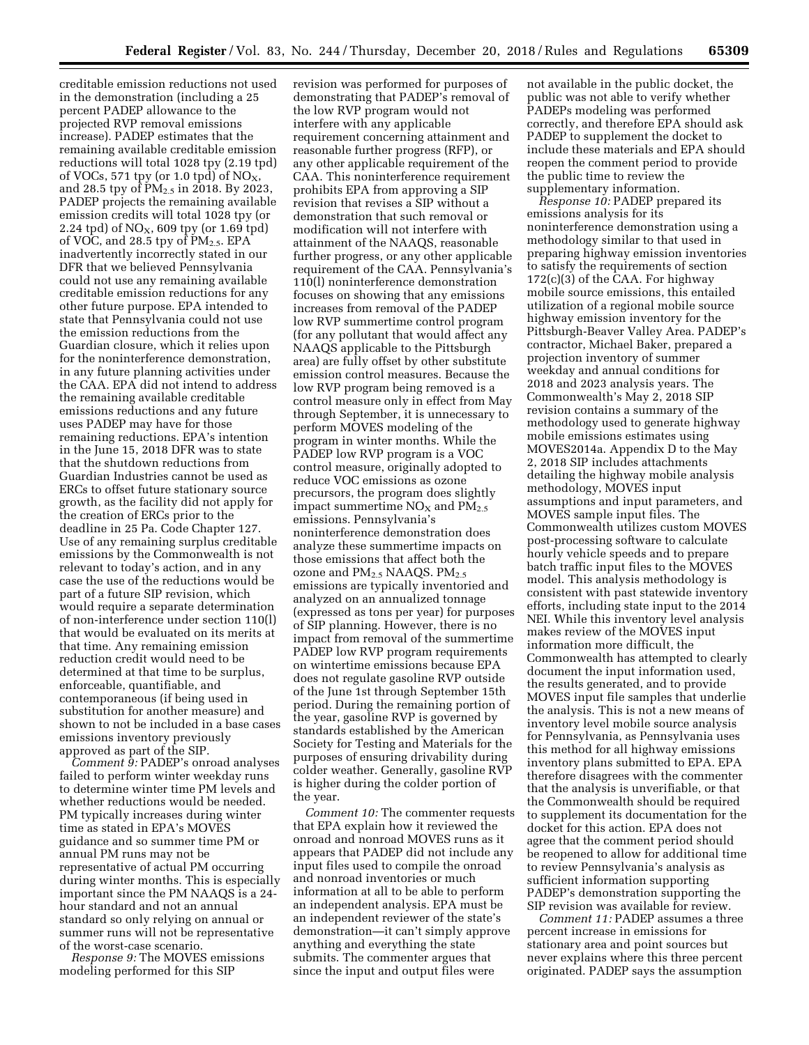creditable emission reductions not used in the demonstration (including a 25 percent PADEP allowance to the projected RVP removal emissions increase). PADEP estimates that the remaining available creditable emission reductions will total 1028 tpy (2.19 tpd) of VOCs, 571 tpy (or 1.0 tpd) of  $NO<sub>X</sub>$ , and 28.5 tpy of PM2.5 in 2018. By 2023, PADEP projects the remaining available emission credits will total 1028 tpy (or 2.24 tpd) of  $NO_{X}$ , 609 tpy (or 1.69 tpd) of VOC, and 28.5 tpy of  $PM_{2.5}$ . EPA inadvertently incorrectly stated in our DFR that we believed Pennsylvania could not use any remaining available creditable emission reductions for any other future purpose. EPA intended to state that Pennsylvania could not use the emission reductions from the Guardian closure, which it relies upon for the noninterference demonstration, in any future planning activities under the CAA. EPA did not intend to address the remaining available creditable emissions reductions and any future uses PADEP may have for those remaining reductions. EPA's intention in the June 15, 2018 DFR was to state that the shutdown reductions from Guardian Industries cannot be used as ERCs to offset future stationary source growth, as the facility did not apply for the creation of ERCs prior to the deadline in 25 Pa. Code Chapter 127. Use of any remaining surplus creditable emissions by the Commonwealth is not relevant to today's action, and in any case the use of the reductions would be part of a future SIP revision, which would require a separate determination of non-interference under section 110(l) that would be evaluated on its merits at that time. Any remaining emission reduction credit would need to be determined at that time to be surplus, enforceable, quantifiable, and contemporaneous (if being used in substitution for another measure) and shown to not be included in a base cases emissions inventory previously approved as part of the SIP.

*Comment 9:* PADEP's onroad analyses failed to perform winter weekday runs to determine winter time PM levels and whether reductions would be needed. PM typically increases during winter time as stated in EPA's MOVES guidance and so summer time PM or annual PM runs may not be representative of actual PM occurring during winter months. This is especially important since the PM NAAQS is a 24 hour standard and not an annual standard so only relying on annual or summer runs will not be representative of the worst-case scenario.

*Response 9:* The MOVES emissions modeling performed for this SIP

revision was performed for purposes of demonstrating that PADEP's removal of the low RVP program would not interfere with any applicable requirement concerning attainment and reasonable further progress (RFP), or any other applicable requirement of the CAA. This noninterference requirement prohibits EPA from approving a SIP revision that revises a SIP without a demonstration that such removal or modification will not interfere with attainment of the NAAQS, reasonable further progress, or any other applicable requirement of the CAA. Pennsylvania's 110(l) noninterference demonstration focuses on showing that any emissions increases from removal of the PADEP low RVP summertime control program (for any pollutant that would affect any NAAQS applicable to the Pittsburgh area) are fully offset by other substitute emission control measures. Because the low RVP program being removed is a control measure only in effect from May through September, it is unnecessary to perform MOVES modeling of the program in winter months. While the PADEP low RVP program is a VOC control measure, originally adopted to reduce VOC emissions as ozone precursors, the program does slightly impact summertime  $NO<sub>X</sub>$  and  $PM<sub>2.5</sub>$ emissions. Pennsylvania's noninterference demonstration does analyze these summertime impacts on those emissions that affect both the ozone and  $PM_{2.5}$  NAAQS.  $PM_{2.5}$ emissions are typically inventoried and analyzed on an annualized tonnage (expressed as tons per year) for purposes of SIP planning. However, there is no impact from removal of the summertime PADEP low RVP program requirements on wintertime emissions because EPA does not regulate gasoline RVP outside of the June 1st through September 15th period. During the remaining portion of the year, gasoline RVP is governed by standards established by the American Society for Testing and Materials for the purposes of ensuring drivability during colder weather. Generally, gasoline RVP is higher during the colder portion of the year.

*Comment 10:* The commenter requests that EPA explain how it reviewed the onroad and nonroad MOVES runs as it appears that PADEP did not include any input files used to compile the onroad and nonroad inventories or much information at all to be able to perform an independent analysis. EPA must be an independent reviewer of the state's demonstration—it can't simply approve anything and everything the state submits. The commenter argues that since the input and output files were

not available in the public docket, the public was not able to verify whether PADEPs modeling was performed correctly, and therefore EPA should ask PADEP to supplement the docket to include these materials and EPA should reopen the comment period to provide the public time to review the supplementary information.

*Response 10:* PADEP prepared its emissions analysis for its noninterference demonstration using a methodology similar to that used in preparing highway emission inventories to satisfy the requirements of section 172(c)(3) of the CAA. For highway mobile source emissions, this entailed utilization of a regional mobile source highway emission inventory for the Pittsburgh-Beaver Valley Area. PADEP's contractor, Michael Baker, prepared a projection inventory of summer weekday and annual conditions for 2018 and 2023 analysis years. The Commonwealth's May 2, 2018 SIP revision contains a summary of the methodology used to generate highway mobile emissions estimates using MOVES2014a. Appendix D to the May 2, 2018 SIP includes attachments detailing the highway mobile analysis methodology, MOVES input assumptions and input parameters, and MOVES sample input files. The Commonwealth utilizes custom MOVES post-processing software to calculate hourly vehicle speeds and to prepare batch traffic input files to the MOVES model. This analysis methodology is consistent with past statewide inventory efforts, including state input to the 2014 NEI. While this inventory level analysis makes review of the MOVES input information more difficult, the Commonwealth has attempted to clearly document the input information used, the results generated, and to provide MOVES input file samples that underlie the analysis. This is not a new means of inventory level mobile source analysis for Pennsylvania, as Pennsylvania uses this method for all highway emissions inventory plans submitted to EPA. EPA therefore disagrees with the commenter that the analysis is unverifiable, or that the Commonwealth should be required to supplement its documentation for the docket for this action. EPA does not agree that the comment period should be reopened to allow for additional time to review Pennsylvania's analysis as sufficient information supporting PADEP's demonstration supporting the SIP revision was available for review.

*Comment 11:* PADEP assumes a three percent increase in emissions for stationary area and point sources but never explains where this three percent originated. PADEP says the assumption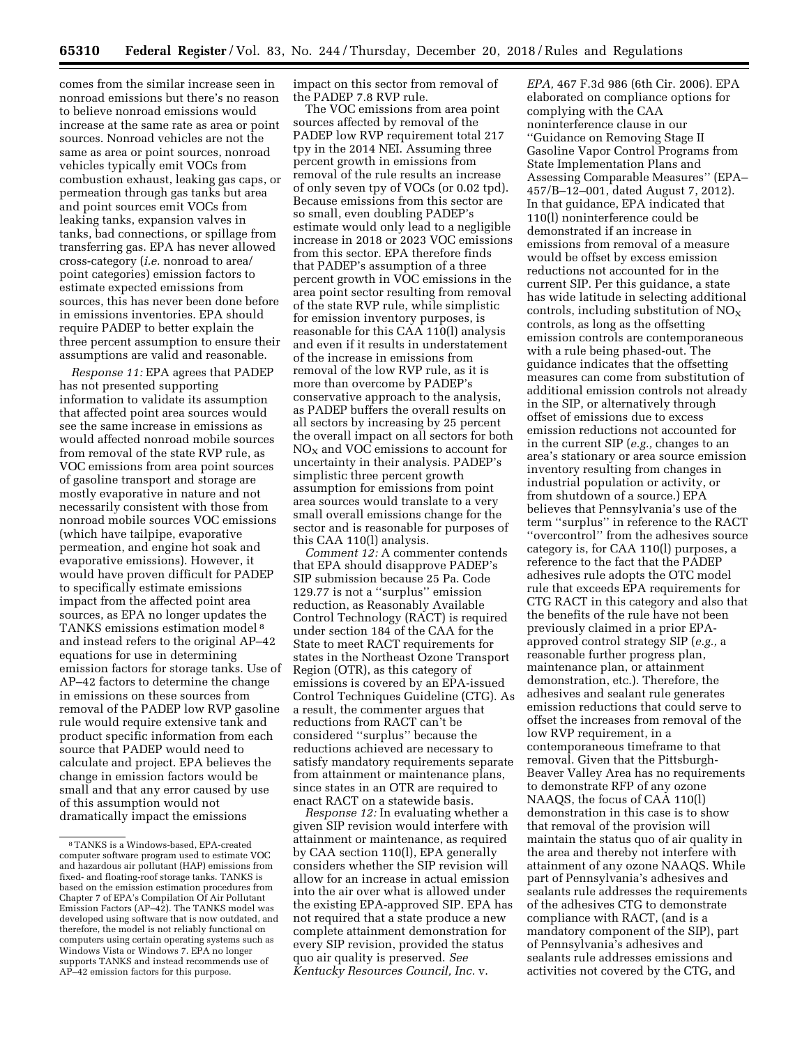comes from the similar increase seen in nonroad emissions but there's no reason to believe nonroad emissions would increase at the same rate as area or point sources. Nonroad vehicles are not the same as area or point sources, nonroad vehicles typically emit VOCs from combustion exhaust, leaking gas caps, or permeation through gas tanks but area and point sources emit VOCs from leaking tanks, expansion valves in tanks, bad connections, or spillage from transferring gas. EPA has never allowed cross-category (*i.e.* nonroad to area/ point categories) emission factors to estimate expected emissions from sources, this has never been done before in emissions inventories. EPA should require PADEP to better explain the three percent assumption to ensure their assumptions are valid and reasonable.

*Response 11:* EPA agrees that PADEP has not presented supporting information to validate its assumption that affected point area sources would see the same increase in emissions as would affected nonroad mobile sources from removal of the state RVP rule, as VOC emissions from area point sources of gasoline transport and storage are mostly evaporative in nature and not necessarily consistent with those from nonroad mobile sources VOC emissions (which have tailpipe, evaporative permeation, and engine hot soak and evaporative emissions). However, it would have proven difficult for PADEP to specifically estimate emissions impact from the affected point area sources, as EPA no longer updates the TANKS emissions estimation model 8 and instead refers to the original AP–42 equations for use in determining emission factors for storage tanks. Use of AP–42 factors to determine the change in emissions on these sources from removal of the PADEP low RVP gasoline rule would require extensive tank and product specific information from each source that PADEP would need to calculate and project. EPA believes the change in emission factors would be small and that any error caused by use of this assumption would not dramatically impact the emissions

impact on this sector from removal of the PADEP 7.8 RVP rule.

The VOC emissions from area point sources affected by removal of the PADEP low RVP requirement total 217 tpy in the 2014 NEI. Assuming three percent growth in emissions from removal of the rule results an increase of only seven tpy of VOCs (or 0.02 tpd). Because emissions from this sector are so small, even doubling PADEP's estimate would only lead to a negligible increase in 2018 or 2023 VOC emissions from this sector. EPA therefore finds that PADEP's assumption of a three percent growth in VOC emissions in the area point sector resulting from removal of the state RVP rule, while simplistic for emission inventory purposes, is reasonable for this CAA 110(l) analysis and even if it results in understatement of the increase in emissions from removal of the low RVP rule, as it is more than overcome by PADEP's conservative approach to the analysis, as PADEP buffers the overall results on all sectors by increasing by 25 percent the overall impact on all sectors for both  $NO<sub>x</sub>$  and VOC emissions to account for uncertainty in their analysis. PADEP's simplistic three percent growth assumption for emissions from point area sources would translate to a very small overall emissions change for the sector and is reasonable for purposes of this CAA 110(l) analysis.

*Comment 12:* A commenter contends that EPA should disapprove PADEP's SIP submission because 25 Pa. Code 129.77 is not a ''surplus'' emission reduction, as Reasonably Available Control Technology (RACT) is required under section 184 of the CAA for the State to meet RACT requirements for states in the Northeast Ozone Transport Region (OTR), as this category of emissions is covered by an EPA-issued Control Techniques Guideline (CTG). As a result, the commenter argues that reductions from RACT can't be considered ''surplus'' because the reductions achieved are necessary to satisfy mandatory requirements separate from attainment or maintenance plans, since states in an OTR are required to enact RACT on a statewide basis.

*Response 12:* In evaluating whether a given SIP revision would interfere with attainment or maintenance, as required by CAA section 110(l), EPA generally considers whether the SIP revision will allow for an increase in actual emission into the air over what is allowed under the existing EPA-approved SIP. EPA has not required that a state produce a new complete attainment demonstration for every SIP revision, provided the status quo air quality is preserved. *See Kentucky Resources Council, Inc.* v.

*EPA,* 467 F.3d 986 (6th Cir. 2006). EPA elaborated on compliance options for complying with the CAA noninterference clause in our ''Guidance on Removing Stage II Gasoline Vapor Control Programs from State Implementation Plans and Assessing Comparable Measures'' (EPA– 457/B–12–001, dated August 7, 2012). In that guidance, EPA indicated that 110(l) noninterference could be demonstrated if an increase in emissions from removal of a measure would be offset by excess emission reductions not accounted for in the current SIP. Per this guidance, a state has wide latitude in selecting additional controls, including substitution of  $NO<sub>x</sub>$ controls, as long as the offsetting emission controls are contemporaneous with a rule being phased-out. The guidance indicates that the offsetting measures can come from substitution of additional emission controls not already in the SIP, or alternatively through offset of emissions due to excess emission reductions not accounted for in the current SIP (*e.g.,* changes to an area's stationary or area source emission inventory resulting from changes in industrial population or activity, or from shutdown of a source.) EPA believes that Pennsylvania's use of the term ''surplus'' in reference to the RACT ''overcontrol'' from the adhesives source category is, for CAA 110(l) purposes, a reference to the fact that the PADEP adhesives rule adopts the OTC model rule that exceeds EPA requirements for CTG RACT in this category and also that the benefits of the rule have not been previously claimed in a prior EPAapproved control strategy SIP (*e.g.,* a reasonable further progress plan, maintenance plan, or attainment demonstration, etc.). Therefore, the adhesives and sealant rule generates emission reductions that could serve to offset the increases from removal of the low RVP requirement, in a contemporaneous timeframe to that removal. Given that the Pittsburgh-Beaver Valley Area has no requirements to demonstrate RFP of any ozone NAAQS, the focus of CAA 110(l) demonstration in this case is to show that removal of the provision will maintain the status quo of air quality in the area and thereby not interfere with attainment of any ozone NAAQS. While part of Pennsylvania's adhesives and sealants rule addresses the requirements of the adhesives CTG to demonstrate compliance with RACT, (and is a mandatory component of the SIP), part of Pennsylvania's adhesives and sealants rule addresses emissions and activities not covered by the CTG, and

<sup>8</sup>TANKS is a Windows-based, EPA-created computer software program used to estimate VOC and hazardous air pollutant (HAP) emissions from fixed- and floating-roof storage tanks. TANKS is based on the emission estimation procedures from Chapter 7 of EPA's Compilation Of Air Pollutant Emission Factors (AP–42). The TANKS model was developed using software that is now outdated, and therefore, the model is not reliably functional on computers using certain operating systems such as Windows Vista or Windows 7. EPA no longer supports TANKS and instead recommends use of AP–42 emission factors for this purpose.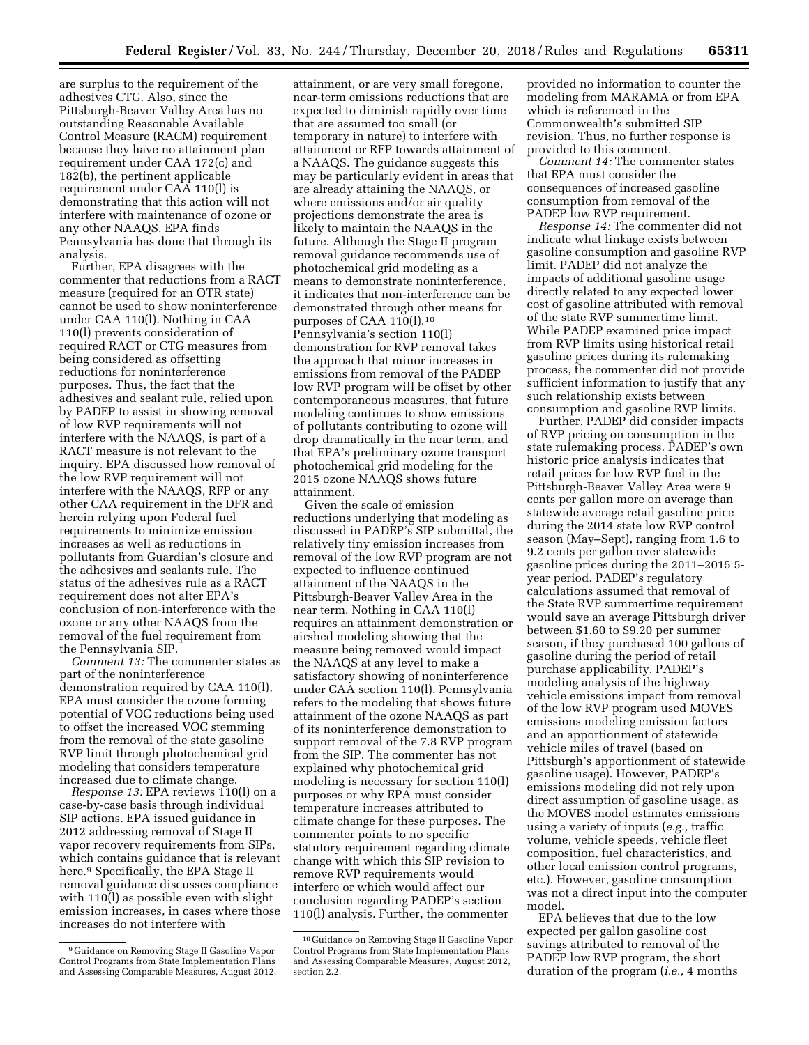are surplus to the requirement of the adhesives CTG. Also, since the Pittsburgh-Beaver Valley Area has no outstanding Reasonable Available Control Measure (RACM) requirement because they have no attainment plan requirement under CAA 172(c) and 182(b), the pertinent applicable requirement under CAA 110(l) is demonstrating that this action will not interfere with maintenance of ozone or any other NAAQS. EPA finds Pennsylvania has done that through its analysis.

Further, EPA disagrees with the commenter that reductions from a RACT measure (required for an OTR state) cannot be used to show noninterference under CAA 110(l). Nothing in CAA 110(l) prevents consideration of required RACT or CTG measures from being considered as offsetting reductions for noninterference purposes. Thus, the fact that the adhesives and sealant rule, relied upon by PADEP to assist in showing removal of low RVP requirements will not interfere with the NAAQS, is part of a RACT measure is not relevant to the inquiry. EPA discussed how removal of the low RVP requirement will not interfere with the NAAQS, RFP or any other CAA requirement in the DFR and herein relying upon Federal fuel requirements to minimize emission increases as well as reductions in pollutants from Guardian's closure and the adhesives and sealants rule. The status of the adhesives rule as a RACT requirement does not alter EPA's conclusion of non-interference with the ozone or any other NAAQS from the removal of the fuel requirement from the Pennsylvania SIP.

*Comment 13:* The commenter states as part of the noninterference demonstration required by CAA 110(l), EPA must consider the ozone forming potential of VOC reductions being used to offset the increased VOC stemming from the removal of the state gasoline RVP limit through photochemical grid modeling that considers temperature increased due to climate change.

*Response 13:* EPA reviews 110(l) on a case-by-case basis through individual SIP actions. EPA issued guidance in 2012 addressing removal of Stage II vapor recovery requirements from SIPs, which contains guidance that is relevant here.9 Specifically, the EPA Stage II removal guidance discusses compliance with 110(l) as possible even with slight emission increases, in cases where those increases do not interfere with

attainment, or are very small foregone, near-term emissions reductions that are expected to diminish rapidly over time that are assumed too small (or temporary in nature) to interfere with attainment or RFP towards attainment of a NAAQS. The guidance suggests this may be particularly evident in areas that are already attaining the NAAQS, or where emissions and/or air quality projections demonstrate the area is likely to maintain the NAAQS in the future. Although the Stage II program removal guidance recommends use of photochemical grid modeling as a means to demonstrate noninterference, it indicates that non-interference can be demonstrated through other means for purposes of CAA 110(l).10 Pennsylvania's section 110(l) demonstration for RVP removal takes the approach that minor increases in emissions from removal of the PADEP low RVP program will be offset by other contemporaneous measures, that future modeling continues to show emissions of pollutants contributing to ozone will drop dramatically in the near term, and that EPA's preliminary ozone transport photochemical grid modeling for the 2015 ozone NAAQS shows future attainment.

Given the scale of emission reductions underlying that modeling as discussed in PADEP's SIP submittal, the relatively tiny emission increases from removal of the low RVP program are not expected to influence continued attainment of the NAAQS in the Pittsburgh-Beaver Valley Area in the near term. Nothing in CAA 110(l) requires an attainment demonstration or airshed modeling showing that the measure being removed would impact the NAAQS at any level to make a satisfactory showing of noninterference under CAA section 110(l). Pennsylvania refers to the modeling that shows future attainment of the ozone NAAQS as part of its noninterference demonstration to support removal of the 7.8 RVP program from the SIP. The commenter has not explained why photochemical grid modeling is necessary for section 110(l) purposes or why EPA must consider temperature increases attributed to climate change for these purposes. The commenter points to no specific statutory requirement regarding climate change with which this SIP revision to remove RVP requirements would interfere or which would affect our conclusion regarding PADEP's section 110(l) analysis. Further, the commenter

provided no information to counter the modeling from MARAMA or from EPA which is referenced in the Commonwealth's submitted SIP revision. Thus, no further response is provided to this comment.

*Comment 14:* The commenter states that EPA must consider the consequences of increased gasoline consumption from removal of the PADEP low RVP requirement.

*Response 14:* The commenter did not indicate what linkage exists between gasoline consumption and gasoline RVP limit. PADEP did not analyze the impacts of additional gasoline usage directly related to any expected lower cost of gasoline attributed with removal of the state RVP summertime limit. While PADEP examined price impact from RVP limits using historical retail gasoline prices during its rulemaking process, the commenter did not provide sufficient information to justify that any such relationship exists between consumption and gasoline RVP limits.

Further, PADEP did consider impacts of RVP pricing on consumption in the state rulemaking process. PADEP's own historic price analysis indicates that retail prices for low RVP fuel in the Pittsburgh-Beaver Valley Area were 9 cents per gallon more on average than statewide average retail gasoline price during the 2014 state low RVP control season (May–Sept), ranging from 1.6 to 9.2 cents per gallon over statewide gasoline prices during the 2011–2015 5 year period. PADEP's regulatory calculations assumed that removal of the State RVP summertime requirement would save an average Pittsburgh driver between \$1.60 to \$9.20 per summer season, if they purchased 100 gallons of gasoline during the period of retail purchase applicability. PADEP's modeling analysis of the highway vehicle emissions impact from removal of the low RVP program used MOVES emissions modeling emission factors and an apportionment of statewide vehicle miles of travel (based on Pittsburgh's apportionment of statewide gasoline usage). However, PADEP's emissions modeling did not rely upon direct assumption of gasoline usage, as the MOVES model estimates emissions using a variety of inputs (*e.g.,* traffic volume, vehicle speeds, vehicle fleet composition, fuel characteristics, and other local emission control programs, etc.). However, gasoline consumption was not a direct input into the computer model.

EPA believes that due to the low expected per gallon gasoline cost savings attributed to removal of the PADEP low RVP program, the short duration of the program (*i.e.,* 4 months

<sup>9</sup> Guidance on Removing Stage II Gasoline Vapor Control Programs from State Implementation Plans and Assessing Comparable Measures, August 2012.

<sup>10</sup> Guidance on Removing Stage II Gasoline Vapor Control Programs from State Implementation Plans and Assessing Comparable Measures, August 2012, section 2.2.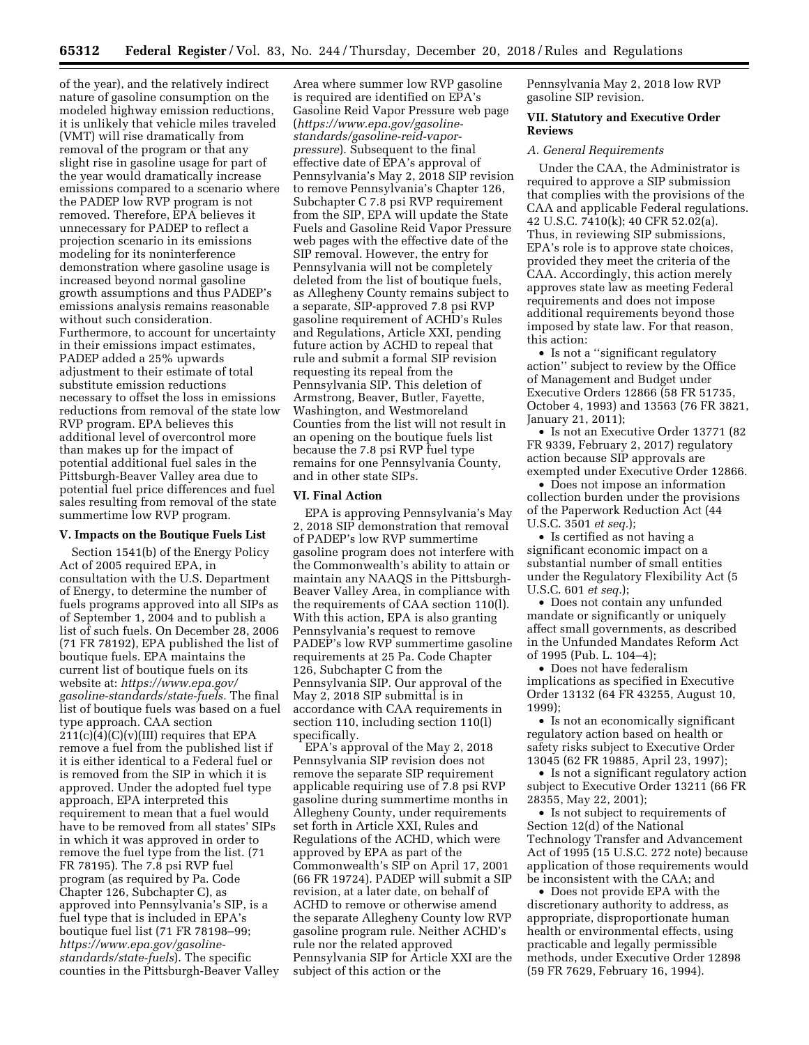of the year), and the relatively indirect nature of gasoline consumption on the modeled highway emission reductions, it is unlikely that vehicle miles traveled (VMT) will rise dramatically from removal of the program or that any slight rise in gasoline usage for part of the year would dramatically increase emissions compared to a scenario where the PADEP low RVP program is not removed. Therefore, EPA believes it unnecessary for PADEP to reflect a projection scenario in its emissions modeling for its noninterference demonstration where gasoline usage is increased beyond normal gasoline growth assumptions and thus PADEP's emissions analysis remains reasonable without such consideration. Furthermore, to account for uncertainty in their emissions impact estimates, PADEP added a 25% upwards adjustment to their estimate of total substitute emission reductions necessary to offset the loss in emissions reductions from removal of the state low RVP program. EPA believes this additional level of overcontrol more than makes up for the impact of potential additional fuel sales in the Pittsburgh-Beaver Valley area due to potential fuel price differences and fuel sales resulting from removal of the state summertime low RVP program.

### **V. Impacts on the Boutique Fuels List**

Section 1541(b) of the Energy Policy Act of 2005 required EPA, in consultation with the U.S. Department of Energy, to determine the number of fuels programs approved into all SIPs as of September 1, 2004 and to publish a list of such fuels. On December 28, 2006 (71 FR 78192), EPA published the list of boutique fuels. EPA maintains the current list of boutique fuels on its website at: *[https://www.epa.gov/](https://www.epa.gov/gasoline-standards/state-fuels) [gasoline-standards/state-fuels.](https://www.epa.gov/gasoline-standards/state-fuels)* The final list of boutique fuels was based on a fuel type approach. CAA section  $211(c)(4)(C)(V)(III)$  requires that EPA remove a fuel from the published list if it is either identical to a Federal fuel or is removed from the SIP in which it is approved. Under the adopted fuel type approach, EPA interpreted this requirement to mean that a fuel would have to be removed from all states' SIPs in which it was approved in order to remove the fuel type from the list. (71 FR 78195). The 7.8 psi RVP fuel program (as required by Pa. Code Chapter 126, Subchapter C), as approved into Pennsylvania's SIP, is a fuel type that is included in EPA's boutique fuel list (71 FR 78198–99; *[https://www.epa.gov/gasoline](https://www.epa.gov/gasoline-standards/state-fuels)[standards/state-fuels](https://www.epa.gov/gasoline-standards/state-fuels)*). The specific counties in the Pittsburgh-Beaver Valley

Area where summer low RVP gasoline is required are identified on EPA's Gasoline Reid Vapor Pressure web page (*[https://www.epa.gov/gasoline](https://www.epa.gov/gasoline-standards/gasoline-reid-vapor-pressure)[standards/gasoline-reid-vapor](https://www.epa.gov/gasoline-standards/gasoline-reid-vapor-pressure)[pressure](https://www.epa.gov/gasoline-standards/gasoline-reid-vapor-pressure)*). Subsequent to the final effective date of EPA's approval of Pennsylvania's May 2, 2018 SIP revision to remove Pennsylvania's Chapter 126, Subchapter C 7.8 psi RVP requirement from the SIP, EPA will update the State Fuels and Gasoline Reid Vapor Pressure web pages with the effective date of the SIP removal. However, the entry for Pennsylvania will not be completely deleted from the list of boutique fuels, as Allegheny County remains subject to a separate, SIP-approved 7.8 psi RVP gasoline requirement of ACHD's Rules and Regulations, Article XXI, pending future action by ACHD to repeal that rule and submit a formal SIP revision requesting its repeal from the Pennsylvania SIP. This deletion of Armstrong, Beaver, Butler, Fayette, Washington, and Westmoreland Counties from the list will not result in an opening on the boutique fuels list because the 7.8 psi RVP fuel type remains for one Pennsylvania County, and in other state SIPs.

#### **VI. Final Action**

EPA is approving Pennsylvania's May 2, 2018 SIP demonstration that removal of PADEP's low RVP summertime gasoline program does not interfere with the Commonwealth's ability to attain or maintain any NAAQS in the Pittsburgh-Beaver Valley Area, in compliance with the requirements of CAA section 110(l). With this action, EPA is also granting Pennsylvania's request to remove PADEP's low RVP summertime gasoline requirements at 25 Pa. Code Chapter 126, Subchapter C from the Pennsylvania SIP. Our approval of the May 2, 2018 SIP submittal is in accordance with CAA requirements in section 110, including section 110(l) specifically.

EPA's approval of the May 2, 2018 Pennsylvania SIP revision does not remove the separate SIP requirement applicable requiring use of 7.8 psi RVP gasoline during summertime months in Allegheny County, under requirements set forth in Article XXI, Rules and Regulations of the ACHD, which were approved by EPA as part of the Commonwealth's SIP on April 17, 2001 (66 FR 19724). PADEP will submit a SIP revision, at a later date, on behalf of ACHD to remove or otherwise amend the separate Allegheny County low RVP gasoline program rule. Neither ACHD's rule nor the related approved Pennsylvania SIP for Article XXI are the subject of this action or the

Pennsylvania May 2, 2018 low RVP gasoline SIP revision.

## **VII. Statutory and Executive Order Reviews**

## *A. General Requirements*

Under the CAA, the Administrator is required to approve a SIP submission that complies with the provisions of the CAA and applicable Federal regulations. 42 U.S.C. 7410(k); 40 CFR 52.02(a). Thus, in reviewing SIP submissions, EPA's role is to approve state choices, provided they meet the criteria of the CAA. Accordingly, this action merely approves state law as meeting Federal requirements and does not impose additional requirements beyond those imposed by state law. For that reason, this action:

• Is not a ''significant regulatory action'' subject to review by the Office of Management and Budget under Executive Orders 12866 (58 FR 51735, October 4, 1993) and 13563 (76 FR 3821, January 21, 2011);

• Is not an Executive Order 13771 (82 FR 9339, February 2, 2017) regulatory action because SIP approvals are exempted under Executive Order 12866.

• Does not impose an information collection burden under the provisions of the Paperwork Reduction Act (44 U.S.C. 3501 *et seq.*);

• Is certified as not having a significant economic impact on a substantial number of small entities under the Regulatory Flexibility Act (5 U.S.C. 601 *et seq.*);

• Does not contain any unfunded mandate or significantly or uniquely affect small governments, as described in the Unfunded Mandates Reform Act of 1995 (Pub. L. 104–4);

• Does not have federalism implications as specified in Executive Order 13132 (64 FR 43255, August 10,  $1999$ 

• Is not an economically significant regulatory action based on health or safety risks subject to Executive Order 13045 (62 FR 19885, April 23, 1997);

• Is not a significant regulatory action subject to Executive Order 13211 (66 FR 28355, May 22, 2001);

• Is not subject to requirements of Section 12(d) of the National Technology Transfer and Advancement Act of 1995 (15 U.S.C. 272 note) because application of those requirements would be inconsistent with the CAA; and

• Does not provide EPA with the discretionary authority to address, as appropriate, disproportionate human health or environmental effects, using practicable and legally permissible methods, under Executive Order 12898 (59 FR 7629, February 16, 1994).